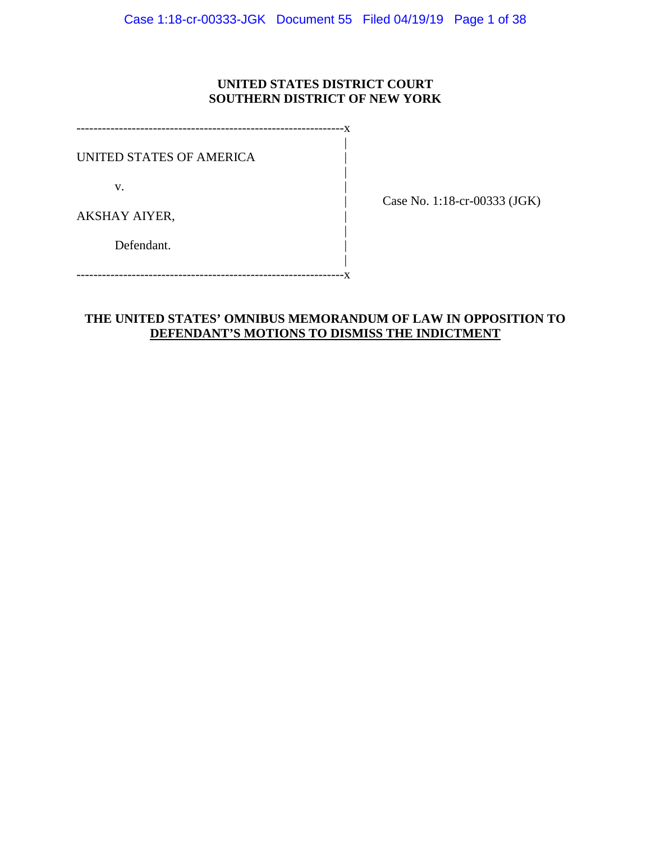# **UNITED STATES DISTRICT COURT SOUTHERN DISTRICT OF NEW YORK**

|

|

|

|

---------------------------------------------------------------x UNITED STATES OF AMERICA |  $\mathbf v$ . AKSHAY AIYER, | Defendant.

| Case No. 1:18-cr-00333 (JGK)

---------------------------------------------------------------x

# **THE UNITED STATES' OMNIBUS MEMORANDUM OF LAW IN OPPOSITION TO DEFENDANT'S MOTIONS TO DISMISS THE INDICTMENT**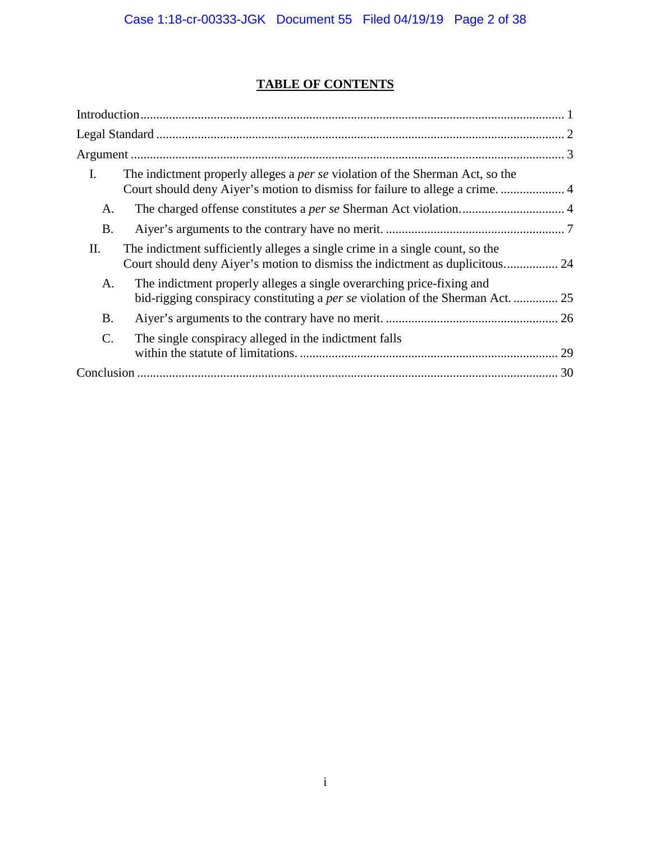# **TABLE OF CONTENTS**

| I.              | The indictment properly alleges a <i>per se</i> violation of the Sherman Act, so the<br>Court should deny Aiyer's motion to dismiss for failure to allege a crime.  4 |
|-----------------|-----------------------------------------------------------------------------------------------------------------------------------------------------------------------|
| A.              |                                                                                                                                                                       |
| <b>B.</b>       |                                                                                                                                                                       |
| Π.              | The indictment sufficiently alleges a single crime in a single count, so the<br>Court should deny Aiyer's motion to dismiss the indictment as duplicitous 24          |
| A.              | The indictment properly alleges a single overarching price-fixing and<br>bid-rigging conspiracy constituting a <i>per se</i> violation of the Sherman Act.  25        |
| <b>B.</b>       |                                                                                                                                                                       |
| $\mathcal{C}$ . | The single conspiracy alleged in the indictment falls                                                                                                                 |
|                 | 30                                                                                                                                                                    |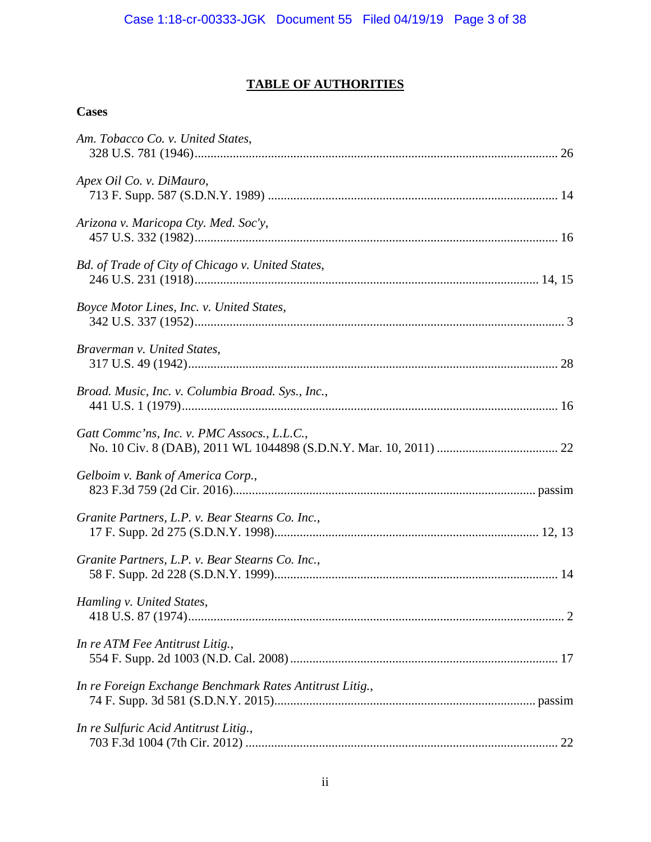# **TABLE OF AUTHORITIES**

# **Cases**

| Am. Tobacco Co. v. United States,                        |  |
|----------------------------------------------------------|--|
| Apex Oil Co. v. DiMauro,                                 |  |
| Arizona v. Maricopa Cty. Med. Soc'y,                     |  |
| Bd. of Trade of City of Chicago v. United States,        |  |
| Boyce Motor Lines, Inc. v. United States,                |  |
| Braverman v. United States,                              |  |
| Broad. Music, Inc. v. Columbia Broad. Sys., Inc.,        |  |
| Gatt Comme'ns, Inc. v. PMC Assocs., L.L.C.,              |  |
| Gelboim v. Bank of America Corp.,                        |  |
| Granite Partners, L.P. v. Bear Stearns Co. Inc.,         |  |
| Granite Partners, L.P. v. Bear Stearns Co. Inc.,         |  |
| Hamling v. United States,                                |  |
| In re ATM Fee Antitrust Litig.,                          |  |
| In re Foreign Exchange Benchmark Rates Antitrust Litig., |  |
| In re Sulfuric Acid Antitrust Litig.,                    |  |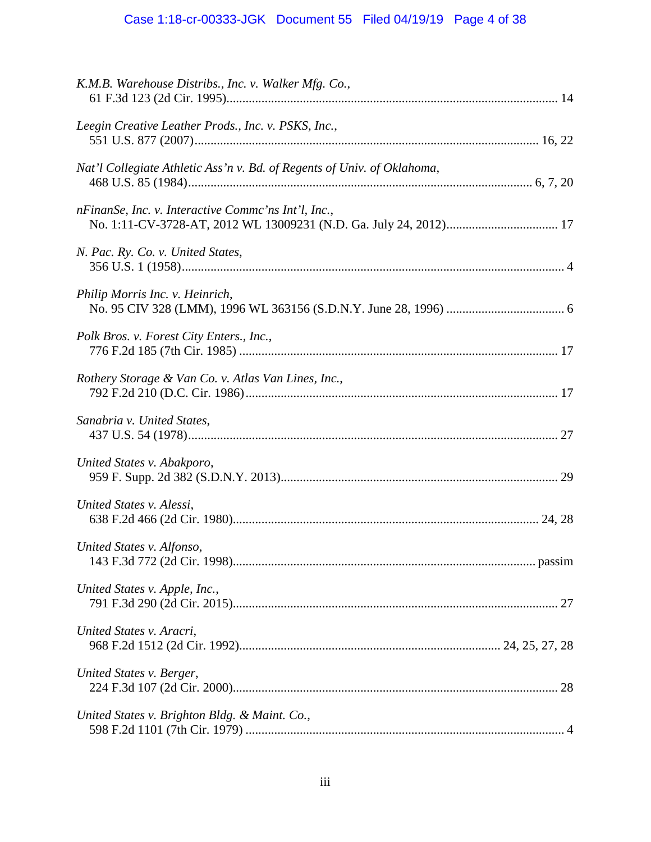# Case 1:18-cr-00333-JGK Document 55 Filed 04/19/19 Page 4 of 38

| K.M.B. Warehouse Distribs., Inc. v. Walker Mfg. Co.,                    |  |
|-------------------------------------------------------------------------|--|
| Leegin Creative Leather Prods., Inc. v. PSKS, Inc.,                     |  |
| Nat'l Collegiate Athletic Ass'n v. Bd. of Regents of Univ. of Oklahoma, |  |
| nFinanSe, Inc. v. Interactive Commc'ns Int'l, Inc.,                     |  |
| N. Pac. Ry. Co. v. United States,                                       |  |
| Philip Morris Inc. v. Heinrich,                                         |  |
| Polk Bros. v. Forest City Enters., Inc.,                                |  |
| Rothery Storage & Van Co. v. Atlas Van Lines, Inc.,                     |  |
| Sanabria v. United States,                                              |  |
| United States v. Abakporo,                                              |  |
| United States v. Alessi,                                                |  |
| United States v. Alfonso,                                               |  |
| United States v. Apple, Inc.,                                           |  |
| United States v. Aracri,                                                |  |
| United States v. Berger,                                                |  |
| United States v. Brighton Bldg. & Maint. Co.,                           |  |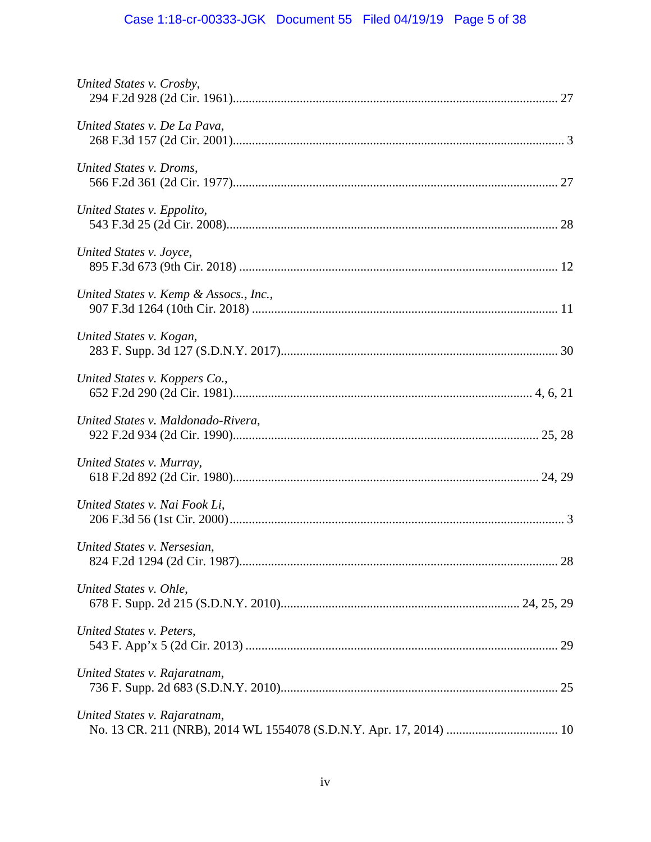# Case 1:18-cr-00333-JGK Document 55 Filed 04/19/19 Page 5 of 38

| United States v. Crosby,               |  |
|----------------------------------------|--|
| United States v. De La Pava,           |  |
| United States v. Droms,                |  |
| United States v. Eppolito,             |  |
| United States v. Joyce,                |  |
| United States v. Kemp & Assocs., Inc., |  |
| United States v. Kogan,                |  |
| United States v. Koppers Co.,          |  |
| United States v. Maldonado-Rivera,     |  |
| United States v. Murray,               |  |
| United States v. Nai Fook Li,          |  |
| United States v. Nersesian,            |  |
| United States v. Ohle,                 |  |
| United States v. Peters,               |  |
| United States v. Rajaratnam,           |  |
| United States v. Rajaratnam,           |  |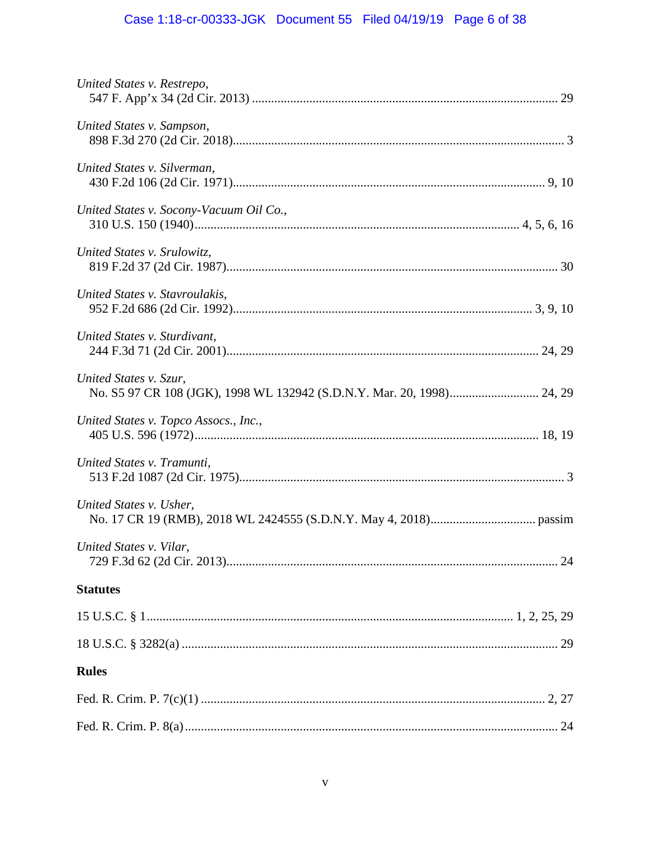# Case 1:18-cr-00333-JGK Document 55 Filed 04/19/19 Page 6 of 38

| United States v. Restrepo,                                                                       |
|--------------------------------------------------------------------------------------------------|
| United States v. Sampson,                                                                        |
| United States v. Silverman,                                                                      |
| United States v. Socony-Vacuum Oil Co.,                                                          |
| United States v. Srulowitz,                                                                      |
| United States v. Stavroulakis,                                                                   |
| United States v. Sturdivant,                                                                     |
| United States v. Szur,<br>No. S5 97 CR 108 (JGK), 1998 WL 132942 (S.D.N.Y. Mar. 20, 1998) 24, 29 |
| United States v. Topco Assocs., Inc.,                                                            |
| United States v. Tramunti,                                                                       |
| United States v. Usher,                                                                          |
| United States v. Vilar,                                                                          |
| <b>Statutes</b>                                                                                  |
|                                                                                                  |
|                                                                                                  |
| <b>Rules</b>                                                                                     |
|                                                                                                  |
|                                                                                                  |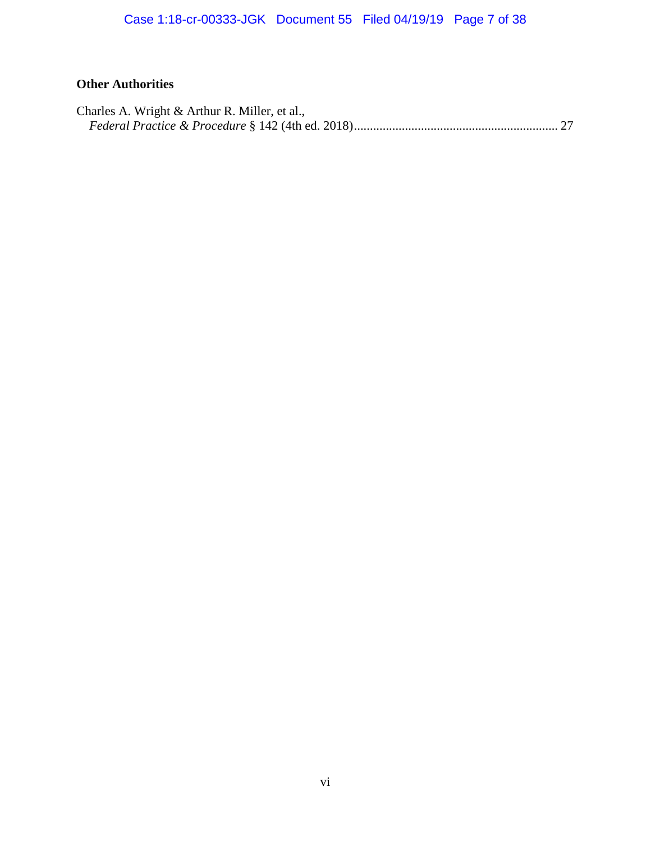# **Other Authorities**

| Charles A. Wright & Arthur R. Miller, et al., |  |
|-----------------------------------------------|--|
|                                               |  |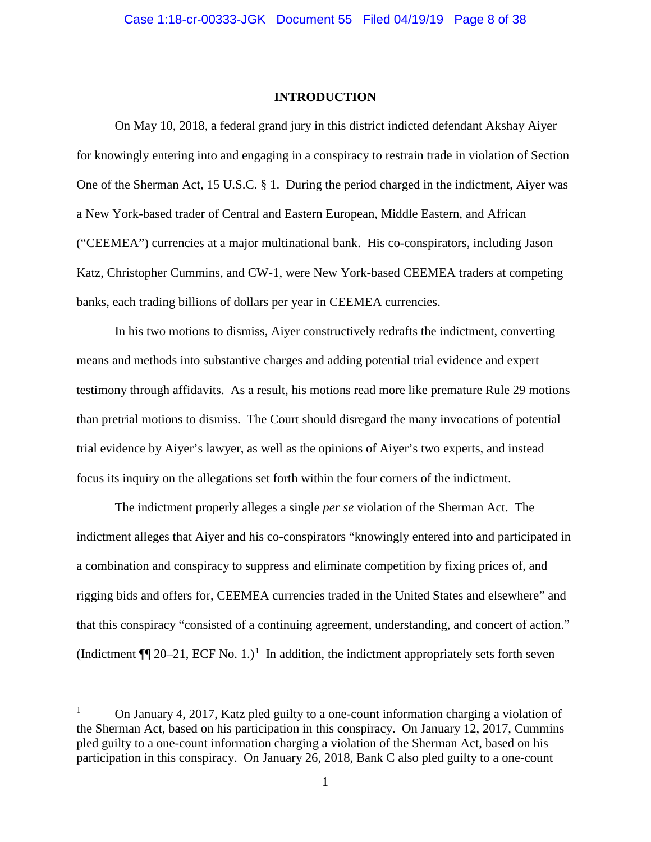#### **INTRODUCTION**

On May 10, 2018, a federal grand jury in this district indicted defendant Akshay Aiyer for knowingly entering into and engaging in a conspiracy to restrain trade in violation of Section One of the Sherman Act, 15 U.S.C. § 1. During the period charged in the indictment, Aiyer was a New York-based trader of Central and Eastern European, Middle Eastern, and African ("CEEMEA") currencies at a major multinational bank. His co-conspirators, including Jason Katz, Christopher Cummins, and CW-1, were New York-based CEEMEA traders at competing banks, each trading billions of dollars per year in CEEMEA currencies.

In his two motions to dismiss, Aiyer constructively redrafts the indictment, converting means and methods into substantive charges and adding potential trial evidence and expert testimony through affidavits. As a result, his motions read more like premature Rule 29 motions than pretrial motions to dismiss. The Court should disregard the many invocations of potential trial evidence by Aiyer's lawyer, as well as the opinions of Aiyer's two experts, and instead focus its inquiry on the allegations set forth within the four corners of the indictment.

The indictment properly alleges a single *per se* violation of the Sherman Act. The indictment alleges that Aiyer and his co-conspirators "knowingly entered into and participated in a combination and conspiracy to suppress and eliminate competition by fixing prices of, and rigging bids and offers for, CEEMEA currencies traded in the United States and elsewhere" and that this conspiracy "consisted of a continuing agreement, understanding, and concert of action." (Indictment  $\P$  20–21, ECF No. 1.)<sup>1</sup> In addition, the indictment appropriately sets forth seven

 <sup>1</sup> On January 4, 2017, Katz pled guilty to a one-count information charging a violation of the Sherman Act, based on his participation in this conspiracy. On January 12, 2017, Cummins pled guilty to a one-count information charging a violation of the Sherman Act, based on his participation in this conspiracy. On January 26, 2018, Bank C also pled guilty to a one-count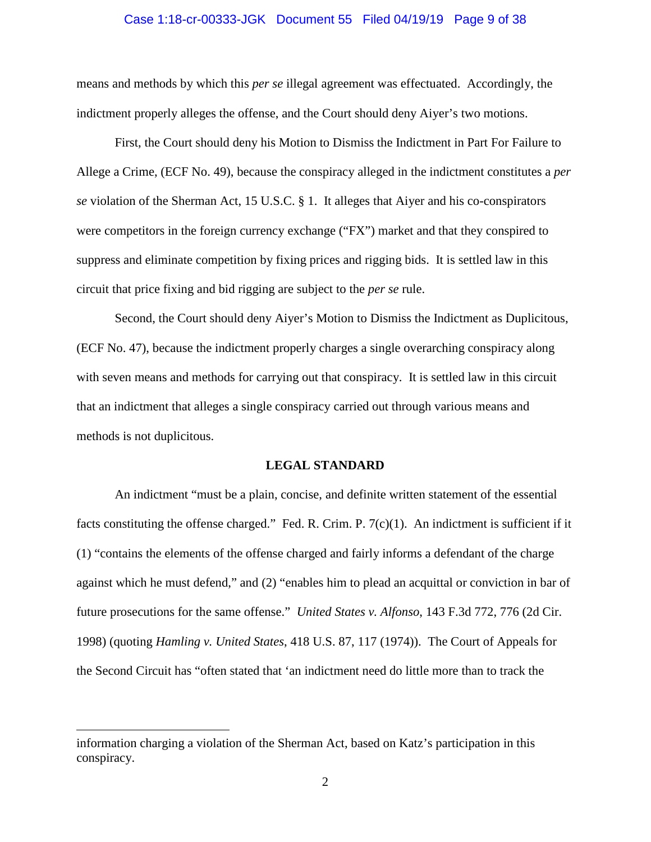#### Case 1:18-cr-00333-JGK Document 55 Filed 04/19/19 Page 9 of 38

means and methods by which this *per se* illegal agreement was effectuated. Accordingly, the indictment properly alleges the offense, and the Court should deny Aiyer's two motions.

First, the Court should deny his Motion to Dismiss the Indictment in Part For Failure to Allege a Crime, (ECF No. 49), because the conspiracy alleged in the indictment constitutes a *per se* violation of the Sherman Act, 15 U.S.C. § 1. It alleges that Aiyer and his co-conspirators were competitors in the foreign currency exchange ("FX") market and that they conspired to suppress and eliminate competition by fixing prices and rigging bids. It is settled law in this circuit that price fixing and bid rigging are subject to the *per se* rule.

Second, the Court should deny Aiyer's Motion to Dismiss the Indictment as Duplicitous, (ECF No. 47), because the indictment properly charges a single overarching conspiracy along with seven means and methods for carrying out that conspiracy. It is settled law in this circuit that an indictment that alleges a single conspiracy carried out through various means and methods is not duplicitous.

#### **LEGAL STANDARD**

An indictment "must be a plain, concise, and definite written statement of the essential facts constituting the offense charged." Fed. R. Crim. P.  $7(c)(1)$ . An indictment is sufficient if it (1) "contains the elements of the offense charged and fairly informs a defendant of the charge against which he must defend," and (2) "enables him to plead an acquittal or conviction in bar of future prosecutions for the same offense." *United States v. Alfonso*, 143 F.3d 772, 776 (2d Cir. 1998) (quoting *Hamling v. United States*, 418 U.S. 87, 117 (1974)). The Court of Appeals for the Second Circuit has "often stated that 'an indictment need do little more than to track the

 $\overline{a}$ 

information charging a violation of the Sherman Act, based on Katz's participation in this conspiracy.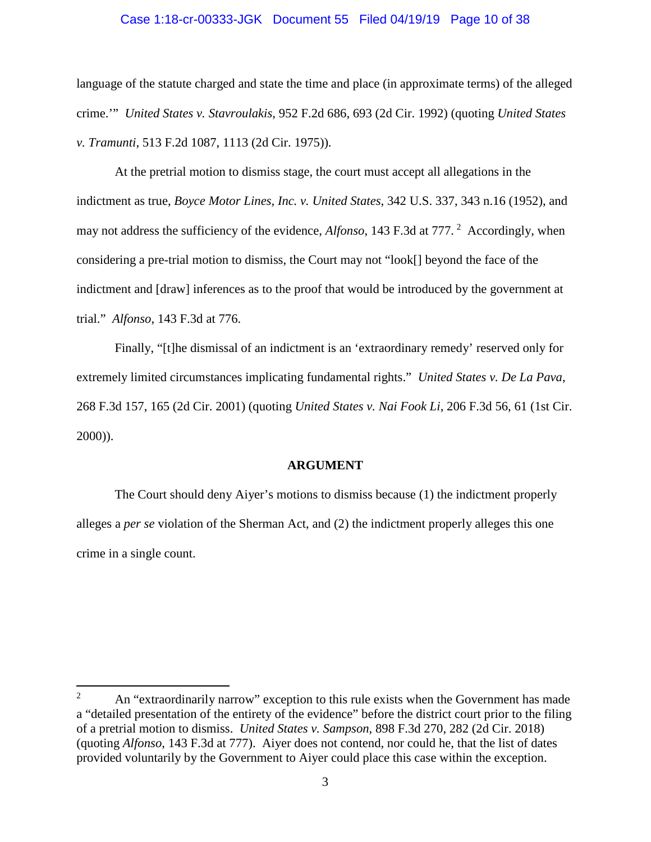#### Case 1:18-cr-00333-JGK Document 55 Filed 04/19/19 Page 10 of 38

language of the statute charged and state the time and place (in approximate terms) of the alleged crime.'" *United States v. Stavroulakis*, 952 F.2d 686, 693 (2d Cir. 1992) (quoting *United States v. Tramunti*, 513 F.2d 1087, 1113 (2d Cir. 1975)).

At the pretrial motion to dismiss stage, the court must accept all allegations in the indictment as true, *Boyce Motor Lines, Inc. v. United States*, 342 U.S. 337, 343 n.16 (1952), and may not address the sufficiency of the evidence, *Alfonso*, 143 F.3d at 777.<sup>2</sup> Accordingly, when considering a pre-trial motion to dismiss, the Court may not "look[] beyond the face of the indictment and [draw] inferences as to the proof that would be introduced by the government at trial." *Alfonso*, 143 F.3d at 776.

Finally, "[t]he dismissal of an indictment is an 'extraordinary remedy' reserved only for extremely limited circumstances implicating fundamental rights." *United States v. De La Pava*, 268 F.3d 157, 165 (2d Cir. 2001) (quoting *United States v. Nai Fook Li*, 206 F.3d 56, 61 (1st Cir. 2000)).

#### **ARGUMENT**

The Court should deny Aiyer's motions to dismiss because (1) the indictment properly alleges a *per se* violation of the Sherman Act, and (2) the indictment properly alleges this one crime in a single count.

<sup>&</sup>lt;sup>2</sup> An "extraordinarily narrow" exception to this rule exists when the Government has made a "detailed presentation of the entirety of the evidence" before the district court prior to the filing of a pretrial motion to dismiss. *United States v. Sampson*, 898 F.3d 270, 282 (2d Cir. 2018) (quoting *Alfonso*, 143 F.3d at 777). Aiyer does not contend, nor could he, that the list of dates provided voluntarily by the Government to Aiyer could place this case within the exception.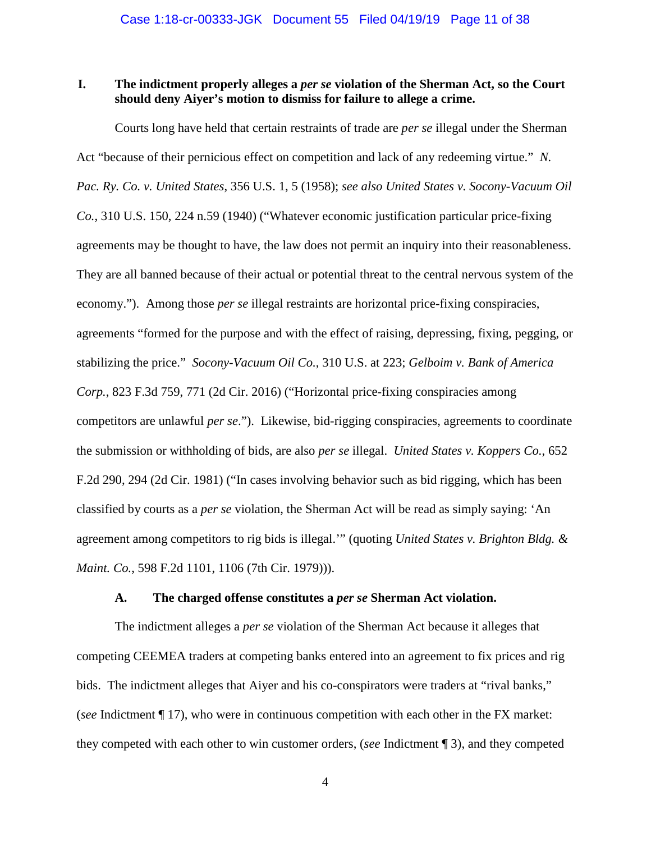## **I. The indictment properly alleges a** *per se* **violation of the Sherman Act, so the Court should deny Aiyer's motion to dismiss for failure to allege a crime.**

Courts long have held that certain restraints of trade are *per se* illegal under the Sherman Act "because of their pernicious effect on competition and lack of any redeeming virtue." *N. Pac. Ry. Co. v. United States*, 356 U.S. 1, 5 (1958); *see also United States v. Socony-Vacuum Oil Co.*, 310 U.S. 150, 224 n.59 (1940) ("Whatever economic justification particular price-fixing agreements may be thought to have, the law does not permit an inquiry into their reasonableness. They are all banned because of their actual or potential threat to the central nervous system of the economy."). Among those *per se* illegal restraints are horizontal price-fixing conspiracies, agreements "formed for the purpose and with the effect of raising, depressing, fixing, pegging, or stabilizing the price." *Socony-Vacuum Oil Co.*, 310 U.S. at 223; *Gelboim v. Bank of America Corp.*, 823 F.3d 759, 771 (2d Cir. 2016) ("Horizontal price-fixing conspiracies among competitors are unlawful *per se*."). Likewise, bid-rigging conspiracies, agreements to coordinate the submission or withholding of bids, are also *per se* illegal. *United States v. Koppers Co.*, 652 F.2d 290, 294 (2d Cir. 1981) ("In cases involving behavior such as bid rigging, which has been classified by courts as a *per se* violation, the Sherman Act will be read as simply saying: 'An agreement among competitors to rig bids is illegal.'" (quoting *United States v. Brighton Bldg. & Maint. Co.*, 598 F.2d 1101, 1106 (7th Cir. 1979))).

#### **A. The charged offense constitutes a** *per se* **Sherman Act violation.**

The indictment alleges a *per se* violation of the Sherman Act because it alleges that competing CEEMEA traders at competing banks entered into an agreement to fix prices and rig bids. The indictment alleges that Aiyer and his co-conspirators were traders at "rival banks," (*see* Indictment ¶ 17), who were in continuous competition with each other in the FX market: they competed with each other to win customer orders, (*see* Indictment ¶ 3), and they competed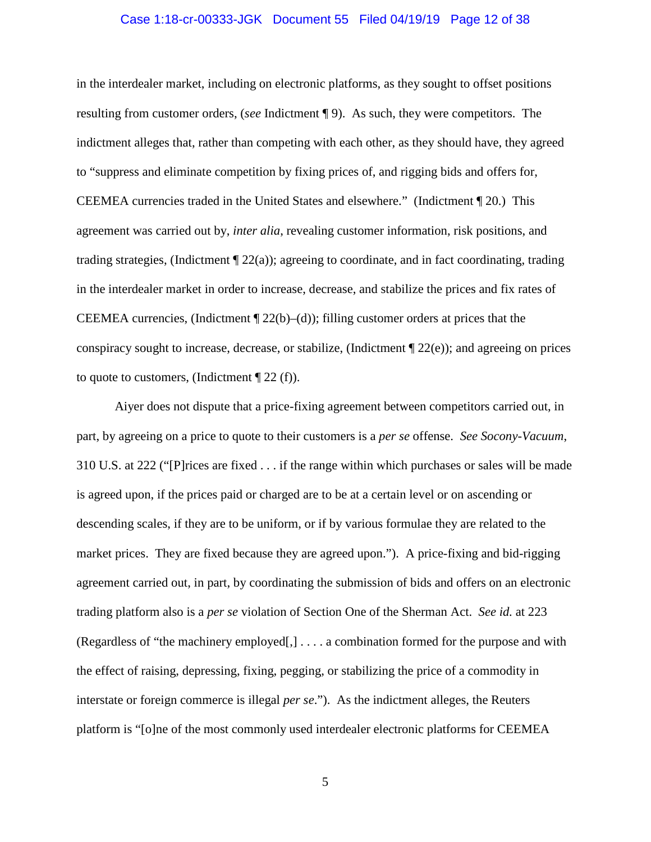#### Case 1:18-cr-00333-JGK Document 55 Filed 04/19/19 Page 12 of 38

in the interdealer market, including on electronic platforms, as they sought to offset positions resulting from customer orders, (*see* Indictment ¶ 9). As such, they were competitors. The indictment alleges that, rather than competing with each other, as they should have, they agreed to "suppress and eliminate competition by fixing prices of, and rigging bids and offers for, CEEMEA currencies traded in the United States and elsewhere." (Indictment ¶ 20.) This agreement was carried out by, *inter alia*, revealing customer information, risk positions, and trading strategies, (Indictment ¶ 22(a)); agreeing to coordinate, and in fact coordinating, trading in the interdealer market in order to increase, decrease, and stabilize the prices and fix rates of CEEMEA currencies, (Indictment  $\P$  22(b)–(d)); filling customer orders at prices that the conspiracy sought to increase, decrease, or stabilize, (Indictment  $\mathcal{Z}_2(e)$ ); and agreeing on prices to quote to customers, (Indictment  $\P$  22 (f)).

Aiyer does not dispute that a price-fixing agreement between competitors carried out, in part, by agreeing on a price to quote to their customers is a *per se* offense. *See Socony-Vacuum*, 310 U.S. at 222 ("[P]rices are fixed . . . if the range within which purchases or sales will be made is agreed upon, if the prices paid or charged are to be at a certain level or on ascending or descending scales, if they are to be uniform, or if by various formulae they are related to the market prices. They are fixed because they are agreed upon."). A price-fixing and bid-rigging agreement carried out, in part, by coordinating the submission of bids and offers on an electronic trading platform also is a *per se* violation of Section One of the Sherman Act. *See id.* at 223 (Regardless of "the machinery employed[,] . . . . a combination formed for the purpose and with the effect of raising, depressing, fixing, pegging, or stabilizing the price of a commodity in interstate or foreign commerce is illegal *per se*."). As the indictment alleges, the Reuters platform is "[o]ne of the most commonly used interdealer electronic platforms for CEEMEA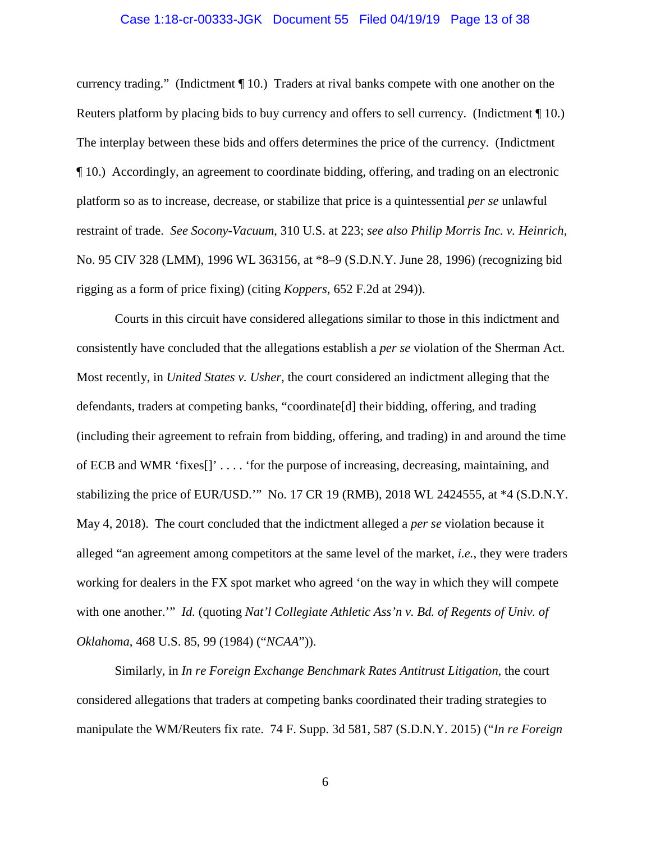#### Case 1:18-cr-00333-JGK Document 55 Filed 04/19/19 Page 13 of 38

currency trading." (Indictment ¶ 10.) Traders at rival banks compete with one another on the Reuters platform by placing bids to buy currency and offers to sell currency. (Indictment ¶ 10.) The interplay between these bids and offers determines the price of the currency. (Indictment ¶ 10.) Accordingly, an agreement to coordinate bidding, offering, and trading on an electronic platform so as to increase, decrease, or stabilize that price is a quintessential *per se* unlawful restraint of trade. *See Socony-Vacuum*, 310 U.S. at 223; *see also Philip Morris Inc. v. Heinrich*, No. 95 CIV 328 (LMM), 1996 WL 363156, at \*8–9 (S.D.N.Y. June 28, 1996) (recognizing bid rigging as a form of price fixing) (citing *Koppers*, 652 F.2d at 294)).

Courts in this circuit have considered allegations similar to those in this indictment and consistently have concluded that the allegations establish a *per se* violation of the Sherman Act. Most recently, in *United States v. Usher*, the court considered an indictment alleging that the defendants, traders at competing banks, "coordinate[d] their bidding, offering, and trading (including their agreement to refrain from bidding, offering, and trading) in and around the time of ECB and WMR 'fixes[]' . . . . 'for the purpose of increasing, decreasing, maintaining, and stabilizing the price of EUR/USD.'" No. 17 CR 19 (RMB), 2018 WL 2424555, at \*4 (S.D.N.Y. May 4, 2018). The court concluded that the indictment alleged a *per se* violation because it alleged "an agreement among competitors at the same level of the market, *i.e.*, they were traders working for dealers in the FX spot market who agreed 'on the way in which they will compete with one another.'" *Id.* (quoting *Nat'l Collegiate Athletic Ass'n v. Bd. of Regents of Univ. of Oklahoma*, 468 U.S. 85, 99 (1984) ("*NCAA*")).

Similarly, in *In re Foreign Exchange Benchmark Rates Antitrust Litigation*, the court considered allegations that traders at competing banks coordinated their trading strategies to manipulate the WM/Reuters fix rate. 74 F. Supp. 3d 581, 587 (S.D.N.Y. 2015) ("*In re Foreign*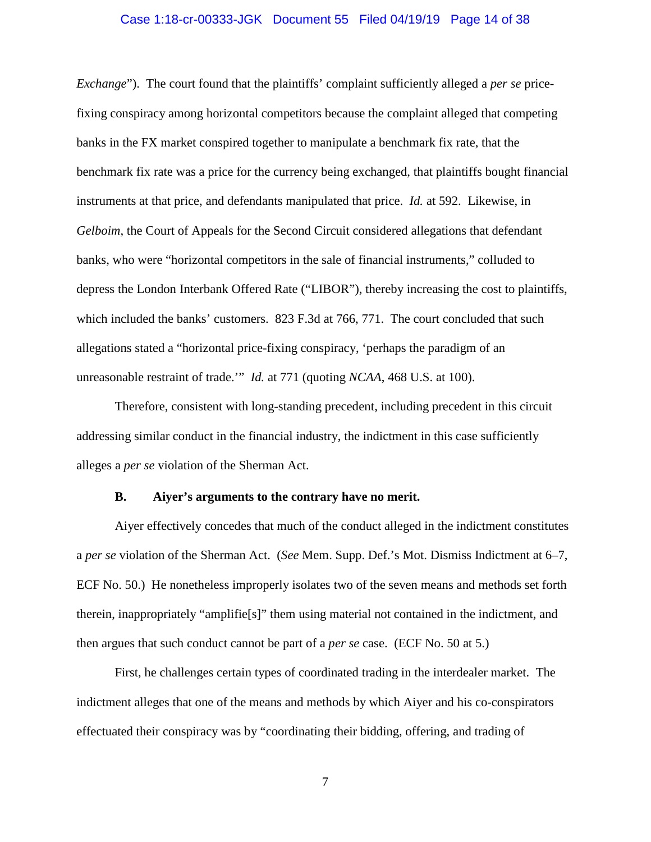#### Case 1:18-cr-00333-JGK Document 55 Filed 04/19/19 Page 14 of 38

*Exchange*"). The court found that the plaintiffs' complaint sufficiently alleged a *per se* pricefixing conspiracy among horizontal competitors because the complaint alleged that competing banks in the FX market conspired together to manipulate a benchmark fix rate, that the benchmark fix rate was a price for the currency being exchanged, that plaintiffs bought financial instruments at that price, and defendants manipulated that price. *Id.* at 592. Likewise, in *Gelboim*, the Court of Appeals for the Second Circuit considered allegations that defendant banks, who were "horizontal competitors in the sale of financial instruments," colluded to depress the London Interbank Offered Rate ("LIBOR"), thereby increasing the cost to plaintiffs, which included the banks' customers. 823 F.3d at 766, 771. The court concluded that such allegations stated a "horizontal price-fixing conspiracy, 'perhaps the paradigm of an unreasonable restraint of trade.'" *Id.* at 771 (quoting *NCAA*, 468 U.S. at 100).

Therefore, consistent with long-standing precedent, including precedent in this circuit addressing similar conduct in the financial industry, the indictment in this case sufficiently alleges a *per se* violation of the Sherman Act.

#### **B. Aiyer's arguments to the contrary have no merit.**

Aiyer effectively concedes that much of the conduct alleged in the indictment constitutes a *per se* violation of the Sherman Act. (*See* Mem. Supp. Def.'s Mot. Dismiss Indictment at 6–7, ECF No. 50.) He nonetheless improperly isolates two of the seven means and methods set forth therein, inappropriately "amplifie[s]" them using material not contained in the indictment, and then argues that such conduct cannot be part of a *per se* case. (ECF No. 50 at 5.)

First, he challenges certain types of coordinated trading in the interdealer market. The indictment alleges that one of the means and methods by which Aiyer and his co-conspirators effectuated their conspiracy was by "coordinating their bidding, offering, and trading of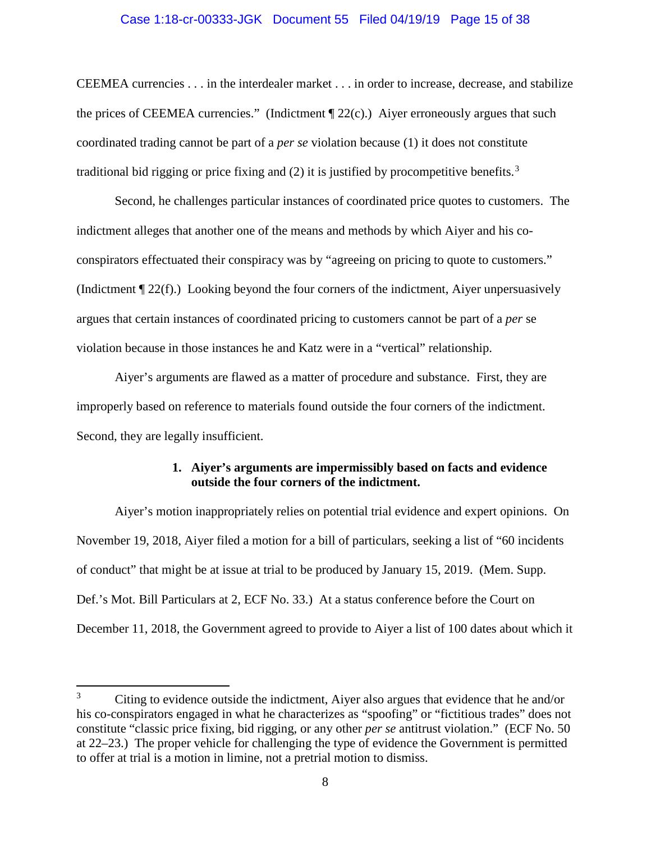#### Case 1:18-cr-00333-JGK Document 55 Filed 04/19/19 Page 15 of 38

CEEMEA currencies . . . in the interdealer market . . . in order to increase, decrease, and stabilize the prices of CEEMEA currencies." (Indictment  $\P$  22(c).) Aiyer erroneously argues that such coordinated trading cannot be part of a *per se* violation because (1) it does not constitute traditional bid rigging or price fixing and (2) it is justified by procompetitive benefits.<sup>3</sup>

Second, he challenges particular instances of coordinated price quotes to customers. The indictment alleges that another one of the means and methods by which Aiyer and his coconspirators effectuated their conspiracy was by "agreeing on pricing to quote to customers." (Indictment ¶ 22(f).) Looking beyond the four corners of the indictment, Aiyer unpersuasively argues that certain instances of coordinated pricing to customers cannot be part of a *per* se violation because in those instances he and Katz were in a "vertical" relationship.

Aiyer's arguments are flawed as a matter of procedure and substance. First, they are improperly based on reference to materials found outside the four corners of the indictment. Second, they are legally insufficient.

# **1. Aiyer's arguments are impermissibly based on facts and evidence outside the four corners of the indictment.**

Aiyer's motion inappropriately relies on potential trial evidence and expert opinions. On November 19, 2018, Aiyer filed a motion for a bill of particulars, seeking a list of "60 incidents of conduct" that might be at issue at trial to be produced by January 15, 2019. (Mem. Supp. Def.'s Mot. Bill Particulars at 2, ECF No. 33.) At a status conference before the Court on December 11, 2018, the Government agreed to provide to Aiyer a list of 100 dates about which it

 $3$  Citing to evidence outside the indictment, Aiver also argues that evidence that he and/or his co-conspirators engaged in what he characterizes as "spoofing" or "fictitious trades" does not constitute "classic price fixing, bid rigging, or any other *per se* antitrust violation." (ECF No. 50 at 22–23.) The proper vehicle for challenging the type of evidence the Government is permitted to offer at trial is a motion in limine, not a pretrial motion to dismiss.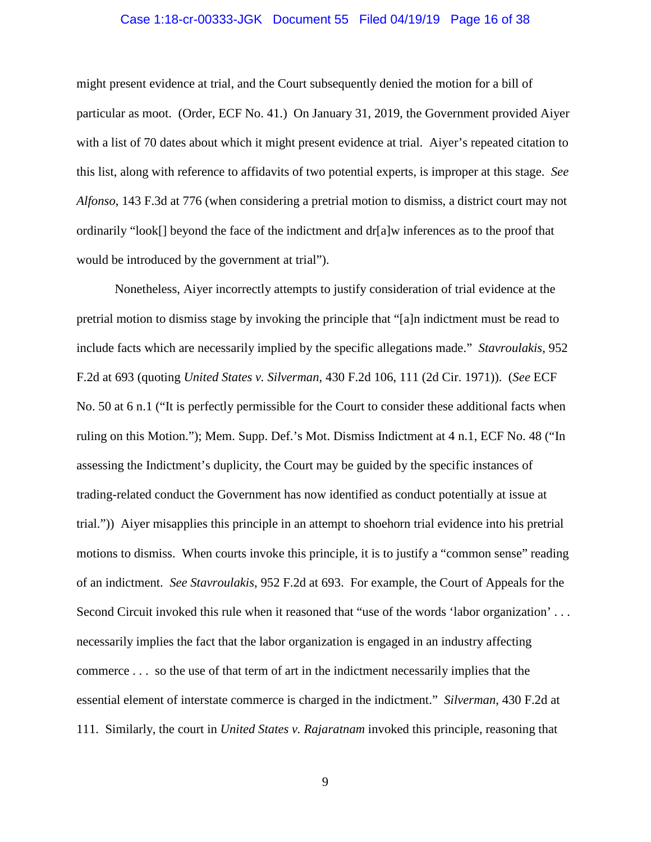#### Case 1:18-cr-00333-JGK Document 55 Filed 04/19/19 Page 16 of 38

might present evidence at trial, and the Court subsequently denied the motion for a bill of particular as moot. (Order, ECF No. 41.) On January 31, 2019, the Government provided Aiyer with a list of 70 dates about which it might present evidence at trial. Aiyer's repeated citation to this list, along with reference to affidavits of two potential experts, is improper at this stage. *See Alfonso*, 143 F.3d at 776 (when considering a pretrial motion to dismiss, a district court may not ordinarily "look[] beyond the face of the indictment and dr[a]w inferences as to the proof that would be introduced by the government at trial").

Nonetheless, Aiyer incorrectly attempts to justify consideration of trial evidence at the pretrial motion to dismiss stage by invoking the principle that "[a]n indictment must be read to include facts which are necessarily implied by the specific allegations made." *Stavroulakis*, 952 F.2d at 693 (quoting *United States v. Silverman*, 430 F.2d 106, 111 (2d Cir. 1971)). (*See* ECF No. 50 at 6 n.1 ("It is perfectly permissible for the Court to consider these additional facts when ruling on this Motion."); Mem. Supp. Def.'s Mot. Dismiss Indictment at 4 n.1, ECF No. 48 ("In assessing the Indictment's duplicity, the Court may be guided by the specific instances of trading-related conduct the Government has now identified as conduct potentially at issue at trial.")) Aiyer misapplies this principle in an attempt to shoehorn trial evidence into his pretrial motions to dismiss. When courts invoke this principle, it is to justify a "common sense" reading of an indictment. *See Stavroulakis*, 952 F.2d at 693. For example, the Court of Appeals for the Second Circuit invoked this rule when it reasoned that "use of the words 'labor organization'... necessarily implies the fact that the labor organization is engaged in an industry affecting commerce . . . so the use of that term of art in the indictment necessarily implies that the essential element of interstate commerce is charged in the indictment." *Silverman*, 430 F.2d at 111. Similarly, the court in *United States v. Rajaratnam* invoked this principle, reasoning that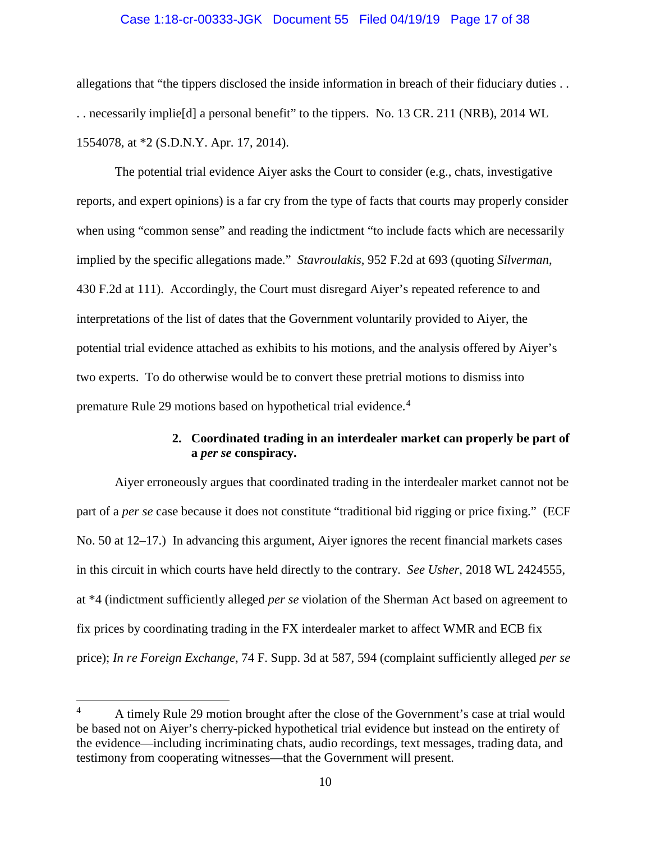#### Case 1:18-cr-00333-JGK Document 55 Filed 04/19/19 Page 17 of 38

allegations that "the tippers disclosed the inside information in breach of their fiduciary duties . . . . necessarily implie[d] a personal benefit" to the tippers. No. 13 CR. 211 (NRB), 2014 WL 1554078, at \*2 (S.D.N.Y. Apr. 17, 2014).

The potential trial evidence Aiyer asks the Court to consider (e.g., chats, investigative reports, and expert opinions) is a far cry from the type of facts that courts may properly consider when using "common sense" and reading the indictment "to include facts which are necessarily implied by the specific allegations made." *Stavroulakis*, 952 F.2d at 693 (quoting *Silverman*, 430 F.2d at 111). Accordingly, the Court must disregard Aiyer's repeated reference to and interpretations of the list of dates that the Government voluntarily provided to Aiyer, the potential trial evidence attached as exhibits to his motions, and the analysis offered by Aiyer's two experts. To do otherwise would be to convert these pretrial motions to dismiss into premature Rule 29 motions based on hypothetical trial evidence.<sup>4</sup>

# **2. Coordinated trading in an interdealer market can properly be part of a** *per se* **conspiracy.**

Aiyer erroneously argues that coordinated trading in the interdealer market cannot not be part of a *per se* case because it does not constitute "traditional bid rigging or price fixing." (ECF No. 50 at 12–17.) In advancing this argument, Aiyer ignores the recent financial markets cases in this circuit in which courts have held directly to the contrary. *See Usher*, 2018 WL 2424555, at \*4 (indictment sufficiently alleged *per se* violation of the Sherman Act based on agreement to fix prices by coordinating trading in the FX interdealer market to affect WMR and ECB fix price); *In re Foreign Exchange*, 74 F. Supp. 3d at 587, 594 (complaint sufficiently alleged *per se* 

 <sup>4</sup> A timely Rule 29 motion brought after the close of the Government's case at trial would be based not on Aiyer's cherry-picked hypothetical trial evidence but instead on the entirety of the evidence—including incriminating chats, audio recordings, text messages, trading data, and testimony from cooperating witnesses—that the Government will present.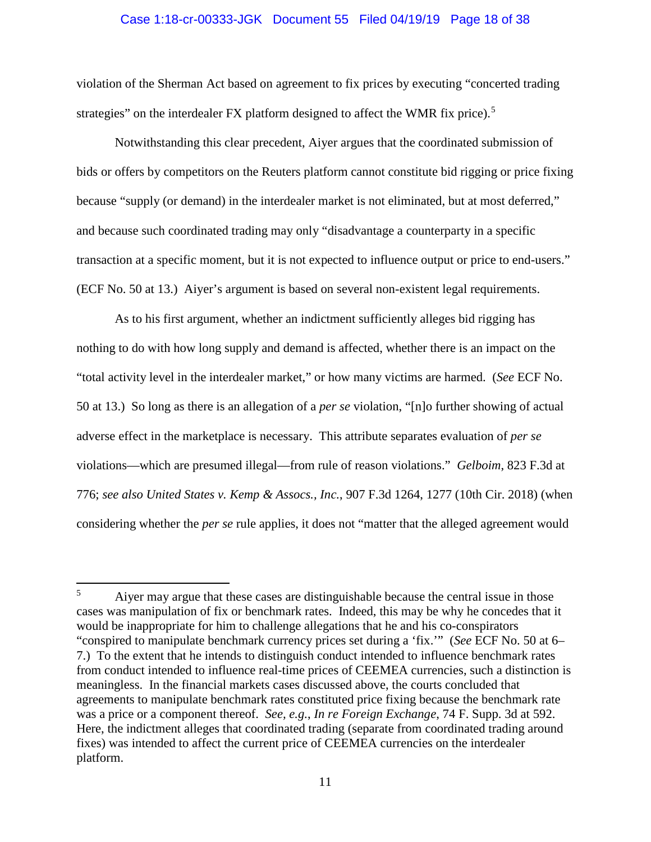#### Case 1:18-cr-00333-JGK Document 55 Filed 04/19/19 Page 18 of 38

violation of the Sherman Act based on agreement to fix prices by executing "concerted trading strategies" on the interdealer FX platform designed to affect the WMR fix price).<sup>5</sup>

Notwithstanding this clear precedent, Aiyer argues that the coordinated submission of bids or offers by competitors on the Reuters platform cannot constitute bid rigging or price fixing because "supply (or demand) in the interdealer market is not eliminated, but at most deferred," and because such coordinated trading may only "disadvantage a counterparty in a specific transaction at a specific moment, but it is not expected to influence output or price to end-users." (ECF No. 50 at 13.) Aiyer's argument is based on several non-existent legal requirements.

As to his first argument, whether an indictment sufficiently alleges bid rigging has nothing to do with how long supply and demand is affected, whether there is an impact on the "total activity level in the interdealer market," or how many victims are harmed. (*See* ECF No. 50 at 13.) So long as there is an allegation of a *per se* violation, "[n]o further showing of actual adverse effect in the marketplace is necessary. This attribute separates evaluation of *per se* violations—which are presumed illegal—from rule of reason violations." *Gelboim*, 823 F.3d at 776; *see also United States v. Kemp & Assocs., Inc.*, 907 F.3d 1264, 1277 (10th Cir. 2018) (when considering whether the *per se* rule applies, it does not "matter that the alleged agreement would

<sup>&</sup>lt;sup>5</sup> Aiyer may argue that these cases are distinguishable because the central issue in those cases was manipulation of fix or benchmark rates. Indeed, this may be why he concedes that it would be inappropriate for him to challenge allegations that he and his co-conspirators "conspired to manipulate benchmark currency prices set during a 'fix.'" (*See* ECF No. 50 at 6– 7.) To the extent that he intends to distinguish conduct intended to influence benchmark rates from conduct intended to influence real-time prices of CEEMEA currencies, such a distinction is meaningless. In the financial markets cases discussed above, the courts concluded that agreements to manipulate benchmark rates constituted price fixing because the benchmark rate was a price or a component thereof. *See, e.g.*, *In re Foreign Exchange*, 74 F. Supp. 3d at 592. Here, the indictment alleges that coordinated trading (separate from coordinated trading around fixes) was intended to affect the current price of CEEMEA currencies on the interdealer platform.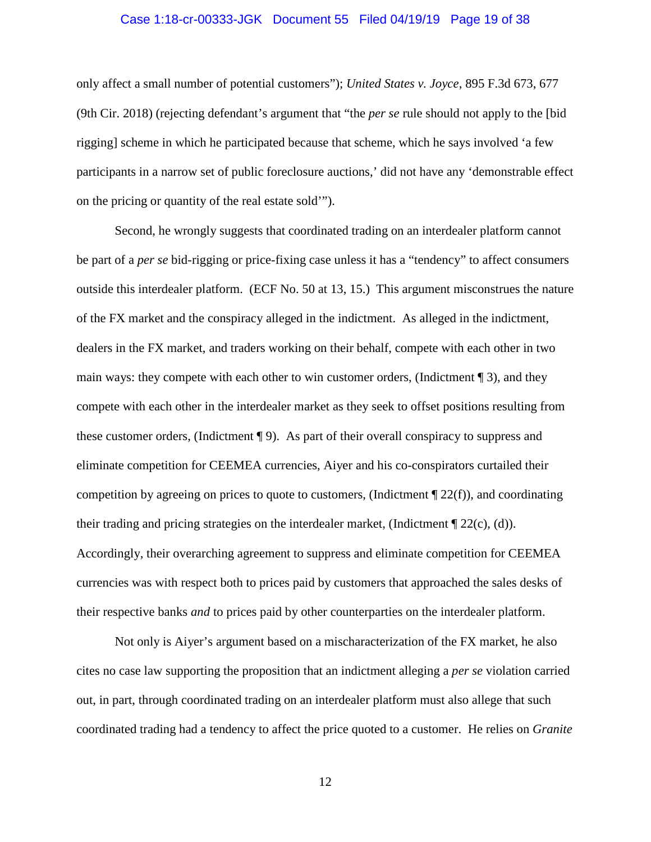#### Case 1:18-cr-00333-JGK Document 55 Filed 04/19/19 Page 19 of 38

only affect a small number of potential customers"); *United States v. Joyce*, 895 F.3d 673, 677 (9th Cir. 2018) (rejecting defendant's argument that "the *per se* rule should not apply to the [bid rigging] scheme in which he participated because that scheme, which he says involved 'a few participants in a narrow set of public foreclosure auctions,' did not have any 'demonstrable effect on the pricing or quantity of the real estate sold'").

Second, he wrongly suggests that coordinated trading on an interdealer platform cannot be part of a *per se* bid-rigging or price-fixing case unless it has a "tendency" to affect consumers outside this interdealer platform. (ECF No. 50 at 13, 15.) This argument misconstrues the nature of the FX market and the conspiracy alleged in the indictment. As alleged in the indictment, dealers in the FX market, and traders working on their behalf, compete with each other in two main ways: they compete with each other to win customer orders, (Indictment ¶ 3), and they compete with each other in the interdealer market as they seek to offset positions resulting from these customer orders, (Indictment ¶ 9). As part of their overall conspiracy to suppress and eliminate competition for CEEMEA currencies, Aiyer and his co-conspirators curtailed their competition by agreeing on prices to quote to customers, (Indictment  $\P$  22(f)), and coordinating their trading and pricing strategies on the interdealer market, (Indictment ¶ 22(c), (d)). Accordingly, their overarching agreement to suppress and eliminate competition for CEEMEA currencies was with respect both to prices paid by customers that approached the sales desks of their respective banks *and* to prices paid by other counterparties on the interdealer platform.

Not only is Aiyer's argument based on a mischaracterization of the FX market, he also cites no case law supporting the proposition that an indictment alleging a *per se* violation carried out, in part, through coordinated trading on an interdealer platform must also allege that such coordinated trading had a tendency to affect the price quoted to a customer. He relies on *Granite*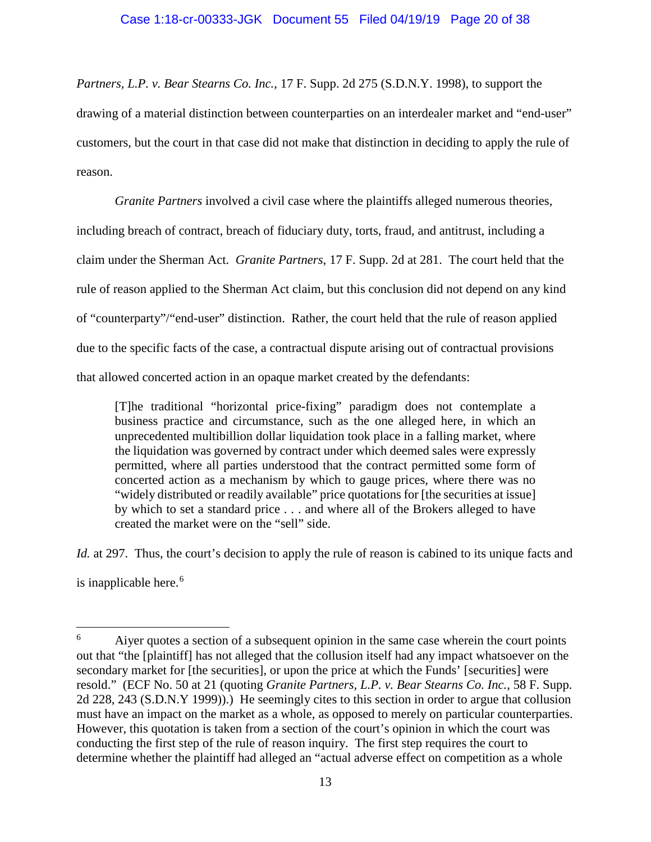*Partners, L.P. v. Bear Stearns Co. Inc.*, 17 F. Supp. 2d 275 (S.D.N.Y. 1998), to support the drawing of a material distinction between counterparties on an interdealer market and "end-user" customers, but the court in that case did not make that distinction in deciding to apply the rule of reason.

*Granite Partners* involved a civil case where the plaintiffs alleged numerous theories, including breach of contract, breach of fiduciary duty, torts, fraud, and antitrust, including a claim under the Sherman Act. *Granite Partners*, 17 F. Supp. 2d at 281. The court held that the rule of reason applied to the Sherman Act claim, but this conclusion did not depend on any kind of "counterparty"/"end-user" distinction. Rather, the court held that the rule of reason applied due to the specific facts of the case, a contractual dispute arising out of contractual provisions that allowed concerted action in an opaque market created by the defendants:

[T]he traditional "horizontal price-fixing" paradigm does not contemplate a business practice and circumstance, such as the one alleged here, in which an unprecedented multibillion dollar liquidation took place in a falling market, where the liquidation was governed by contract under which deemed sales were expressly permitted, where all parties understood that the contract permitted some form of concerted action as a mechanism by which to gauge prices, where there was no "widely distributed or readily available" price quotations for [the securities at issue] by which to set a standard price . . . and where all of the Brokers alleged to have created the market were on the "sell" side.

*Id.* at 297. Thus, the court's decision to apply the rule of reason is cabined to its unique facts and is inapplicable here.<sup>6</sup>

<sup>&</sup>lt;sup>6</sup> Aiyer quotes a section of a subsequent opinion in the same case wherein the court points out that "the [plaintiff] has not alleged that the collusion itself had any impact whatsoever on the secondary market for [the securities], or upon the price at which the Funds' [securities] were resold." (ECF No. 50 at 21 (quoting *Granite Partners, L.P. v. Bear Stearns Co. Inc.*, 58 F. Supp. 2d 228, 243 (S.D.N.Y 1999)).) He seemingly cites to this section in order to argue that collusion must have an impact on the market as a whole, as opposed to merely on particular counterparties. However, this quotation is taken from a section of the court's opinion in which the court was conducting the first step of the rule of reason inquiry. The first step requires the court to determine whether the plaintiff had alleged an "actual adverse effect on competition as a whole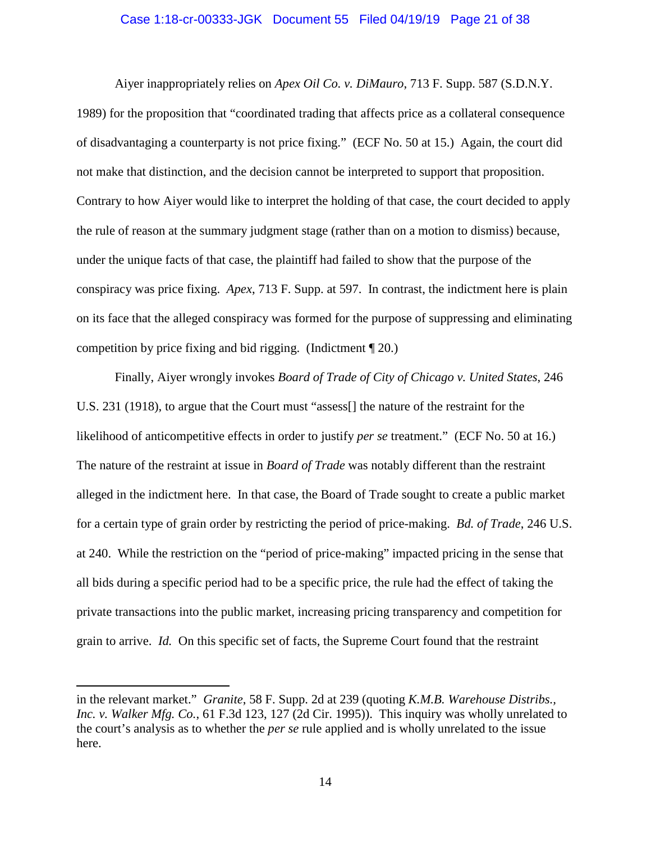#### Case 1:18-cr-00333-JGK Document 55 Filed 04/19/19 Page 21 of 38

Aiyer inappropriately relies on *Apex Oil Co. v. DiMauro*, 713 F. Supp. 587 (S.D.N.Y. 1989) for the proposition that "coordinated trading that affects price as a collateral consequence of disadvantaging a counterparty is not price fixing." (ECF No. 50 at 15.) Again, the court did not make that distinction, and the decision cannot be interpreted to support that proposition. Contrary to how Aiyer would like to interpret the holding of that case, the court decided to apply the rule of reason at the summary judgment stage (rather than on a motion to dismiss) because, under the unique facts of that case, the plaintiff had failed to show that the purpose of the conspiracy was price fixing. *Apex*, 713 F. Supp. at 597. In contrast, the indictment here is plain on its face that the alleged conspiracy was formed for the purpose of suppressing and eliminating competition by price fixing and bid rigging. (Indictment ¶ 20.)

Finally, Aiyer wrongly invokes *Board of Trade of City of Chicago v. United States*, 246 U.S. 231 (1918), to argue that the Court must "assess[] the nature of the restraint for the likelihood of anticompetitive effects in order to justify *per se* treatment." (ECF No. 50 at 16.) The nature of the restraint at issue in *Board of Trade* was notably different than the restraint alleged in the indictment here. In that case, the Board of Trade sought to create a public market for a certain type of grain order by restricting the period of price-making. *Bd. of Trade*, 246 U.S. at 240. While the restriction on the "period of price-making" impacted pricing in the sense that all bids during a specific period had to be a specific price, the rule had the effect of taking the private transactions into the public market, increasing pricing transparency and competition for grain to arrive. *Id.* On this specific set of facts, the Supreme Court found that the restraint

 $\overline{a}$ 

in the relevant market." *Granite*, 58 F. Supp. 2d at 239 (quoting *K.M.B. Warehouse Distribs., Inc. v. Walker Mfg. Co.*, 61 F.3d 123, 127 (2d Cir. 1995)). This inquiry was wholly unrelated to the court's analysis as to whether the *per se* rule applied and is wholly unrelated to the issue here.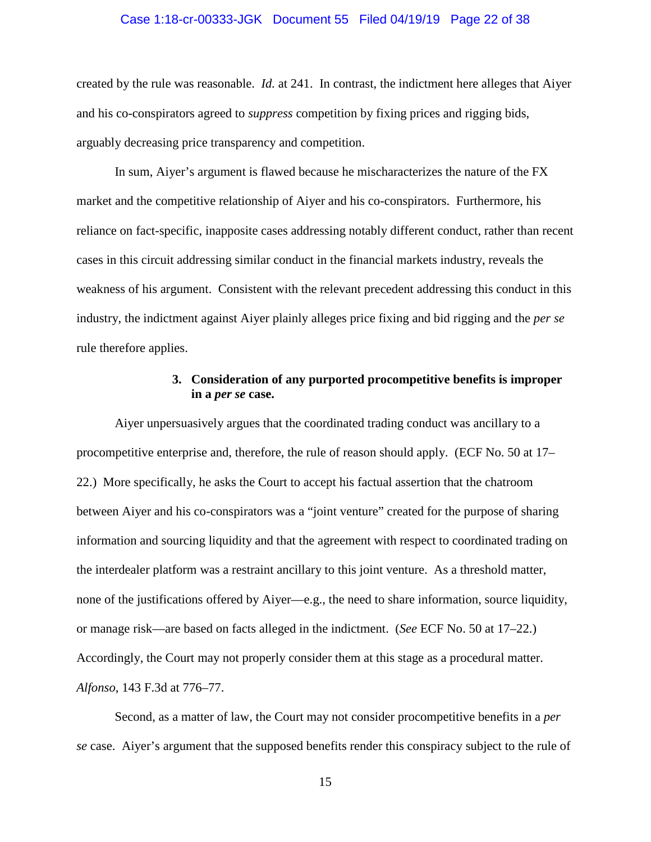#### Case 1:18-cr-00333-JGK Document 55 Filed 04/19/19 Page 22 of 38

created by the rule was reasonable. *Id.* at 241. In contrast, the indictment here alleges that Aiyer and his co-conspirators agreed to *suppress* competition by fixing prices and rigging bids, arguably decreasing price transparency and competition.

In sum, Aiyer's argument is flawed because he mischaracterizes the nature of the FX market and the competitive relationship of Aiyer and his co-conspirators. Furthermore, his reliance on fact-specific, inapposite cases addressing notably different conduct, rather than recent cases in this circuit addressing similar conduct in the financial markets industry, reveals the weakness of his argument. Consistent with the relevant precedent addressing this conduct in this industry, the indictment against Aiyer plainly alleges price fixing and bid rigging and the *per se* rule therefore applies.

## **3. Consideration of any purported procompetitive benefits is improper in a** *per se* **case.**

Aiyer unpersuasively argues that the coordinated trading conduct was ancillary to a procompetitive enterprise and, therefore, the rule of reason should apply. (ECF No. 50 at 17– 22.) More specifically, he asks the Court to accept his factual assertion that the chatroom between Aiyer and his co-conspirators was a "joint venture" created for the purpose of sharing information and sourcing liquidity and that the agreement with respect to coordinated trading on the interdealer platform was a restraint ancillary to this joint venture. As a threshold matter, none of the justifications offered by Aiyer—e.g., the need to share information, source liquidity, or manage risk—are based on facts alleged in the indictment. (*See* ECF No. 50 at 17–22.) Accordingly, the Court may not properly consider them at this stage as a procedural matter. *Alfonso*, 143 F.3d at 776–77.

Second, as a matter of law, the Court may not consider procompetitive benefits in a *per se* case. Aiyer's argument that the supposed benefits render this conspiracy subject to the rule of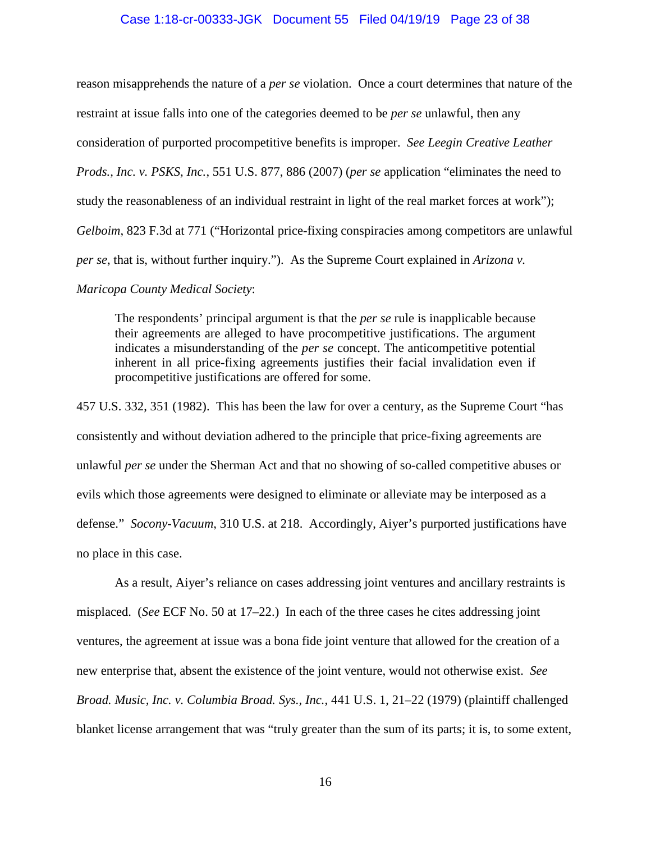#### Case 1:18-cr-00333-JGK Document 55 Filed 04/19/19 Page 23 of 38

reason misapprehends the nature of a *per se* violation. Once a court determines that nature of the restraint at issue falls into one of the categories deemed to be *per se* unlawful, then any consideration of purported procompetitive benefits is improper. *See Leegin Creative Leather Prods., Inc. v. PSKS, Inc.*, 551 U.S. 877, 886 (2007) (*per se* application "eliminates the need to study the reasonableness of an individual restraint in light of the real market forces at work"); *Gelboim*, 823 F.3d at 771 ("Horizontal price-fixing conspiracies among competitors are unlawful *per se*, that is, without further inquiry."). As the Supreme Court explained in *Arizona v.* 

# *Maricopa County Medical Society*:

The respondents' principal argument is that the *per se* rule is inapplicable because their agreements are alleged to have procompetitive justifications. The argument indicates a misunderstanding of the *per se* concept. The anticompetitive potential inherent in all price-fixing agreements justifies their facial invalidation even if procompetitive justifications are offered for some.

457 U.S. 332, 351 (1982). This has been the law for over a century, as the Supreme Court "has consistently and without deviation adhered to the principle that price-fixing agreements are unlawful *per se* under the Sherman Act and that no showing of so-called competitive abuses or evils which those agreements were designed to eliminate or alleviate may be interposed as a defense." *Socony-Vacuum*, 310 U.S. at 218. Accordingly, Aiyer's purported justifications have no place in this case.

As a result, Aiyer's reliance on cases addressing joint ventures and ancillary restraints is misplaced. (*See* ECF No. 50 at 17–22.) In each of the three cases he cites addressing joint ventures, the agreement at issue was a bona fide joint venture that allowed for the creation of a new enterprise that, absent the existence of the joint venture, would not otherwise exist. *See Broad. Music, Inc. v. Columbia Broad. Sys., Inc.*, 441 U.S. 1, 21–22 (1979) (plaintiff challenged blanket license arrangement that was "truly greater than the sum of its parts; it is, to some extent,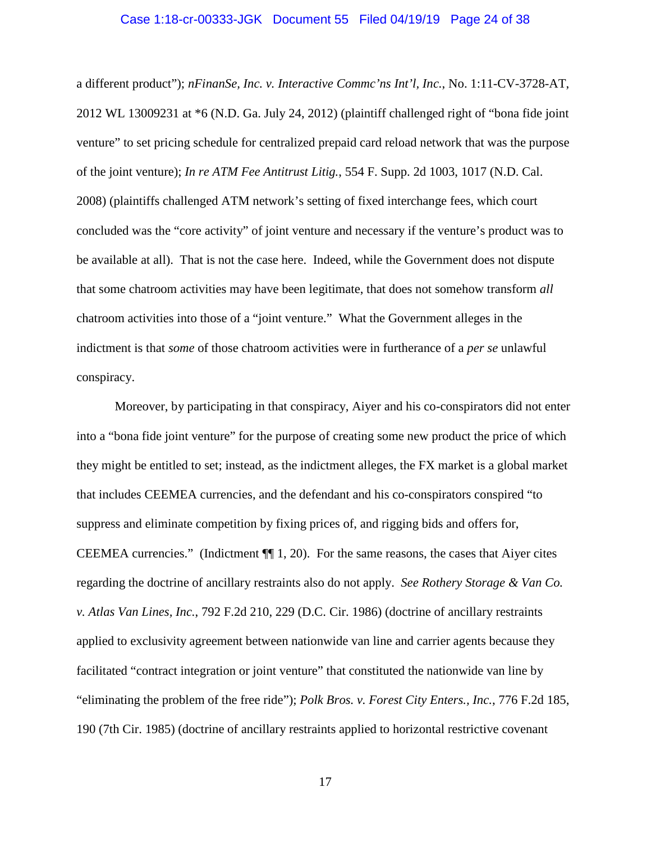#### Case 1:18-cr-00333-JGK Document 55 Filed 04/19/19 Page 24 of 38

a different product"); *nFinanSe, Inc. v. Interactive Commc'ns Int'l, Inc.*, No. 1:11-CV-3728-AT, 2012 WL 13009231 at \*6 (N.D. Ga. July 24, 2012) (plaintiff challenged right of "bona fide joint venture" to set pricing schedule for centralized prepaid card reload network that was the purpose of the joint venture); *In re ATM Fee Antitrust Litig.*, 554 F. Supp. 2d 1003, 1017 (N.D. Cal. 2008) (plaintiffs challenged ATM network's setting of fixed interchange fees, which court concluded was the "core activity" of joint venture and necessary if the venture's product was to be available at all). That is not the case here. Indeed, while the Government does not dispute that some chatroom activities may have been legitimate, that does not somehow transform *all*  chatroom activities into those of a "joint venture." What the Government alleges in the indictment is that *some* of those chatroom activities were in furtherance of a *per se* unlawful conspiracy.

Moreover, by participating in that conspiracy, Aiyer and his co-conspirators did not enter into a "bona fide joint venture" for the purpose of creating some new product the price of which they might be entitled to set; instead, as the indictment alleges, the FX market is a global market that includes CEEMEA currencies, and the defendant and his co-conspirators conspired "to suppress and eliminate competition by fixing prices of, and rigging bids and offers for, CEEMEA currencies." (Indictment  $\P$  $\parallel$  1, 20). For the same reasons, the cases that Aiyer cites regarding the doctrine of ancillary restraints also do not apply. *See Rothery Storage & Van Co. v. Atlas Van Lines, Inc.*, 792 F.2d 210, 229 (D.C. Cir. 1986) (doctrine of ancillary restraints applied to exclusivity agreement between nationwide van line and carrier agents because they facilitated "contract integration or joint venture" that constituted the nationwide van line by "eliminating the problem of the free ride"); *Polk Bros. v. Forest City Enters., Inc.*, 776 F.2d 185, 190 (7th Cir. 1985) (doctrine of ancillary restraints applied to horizontal restrictive covenant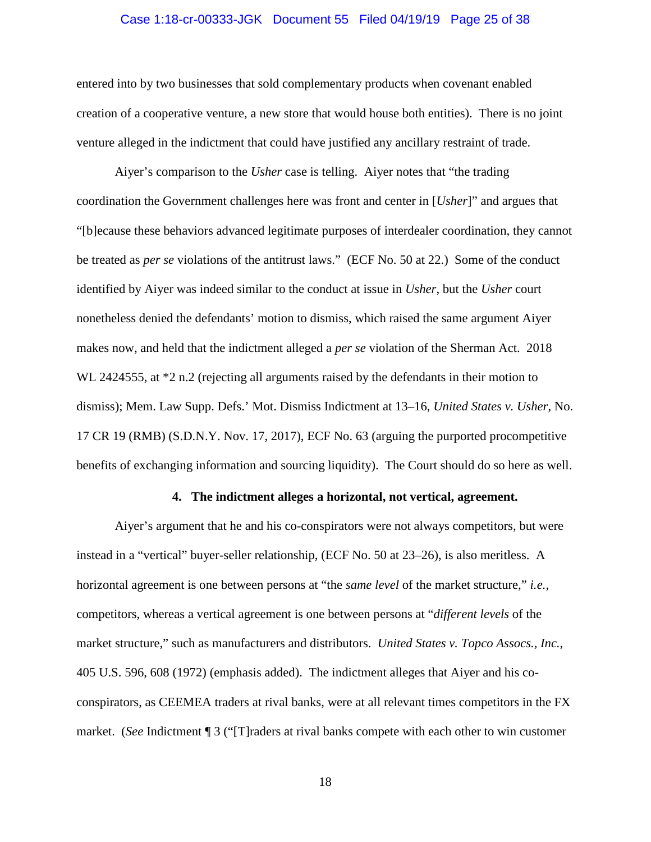#### Case 1:18-cr-00333-JGK Document 55 Filed 04/19/19 Page 25 of 38

entered into by two businesses that sold complementary products when covenant enabled creation of a cooperative venture, a new store that would house both entities). There is no joint venture alleged in the indictment that could have justified any ancillary restraint of trade.

Aiyer's comparison to the *Usher* case is telling. Aiyer notes that "the trading coordination the Government challenges here was front and center in [*Usher*]" and argues that "[b]ecause these behaviors advanced legitimate purposes of interdealer coordination, they cannot be treated as *per se* violations of the antitrust laws." (ECF No. 50 at 22.) Some of the conduct identified by Aiyer was indeed similar to the conduct at issue in *Usher*, but the *Usher* court nonetheless denied the defendants' motion to dismiss, which raised the same argument Aiyer makes now, and held that the indictment alleged a *per se* violation of the Sherman Act. 2018 WL 2424555, at  $*2$  n.2 (rejecting all arguments raised by the defendants in their motion to dismiss); Mem. Law Supp. Defs.' Mot. Dismiss Indictment at 13–16, *United States v. Usher*, No. 17 CR 19 (RMB) (S.D.N.Y. Nov. 17, 2017), ECF No. 63 (arguing the purported procompetitive benefits of exchanging information and sourcing liquidity). The Court should do so here as well.

#### **4. The indictment alleges a horizontal, not vertical, agreement.**

Aiyer's argument that he and his co-conspirators were not always competitors, but were instead in a "vertical" buyer-seller relationship, (ECF No. 50 at 23–26), is also meritless. A horizontal agreement is one between persons at "the *same level* of the market structure," *i.e.*, competitors, whereas a vertical agreement is one between persons at "*different levels* of the market structure," such as manufacturers and distributors. *United States v. Topco Assocs., Inc.*, 405 U.S. 596, 608 (1972) (emphasis added). The indictment alleges that Aiyer and his coconspirators, as CEEMEA traders at rival banks, were at all relevant times competitors in the FX market. (*See* Indictment ¶ 3 ("[T]raders at rival banks compete with each other to win customer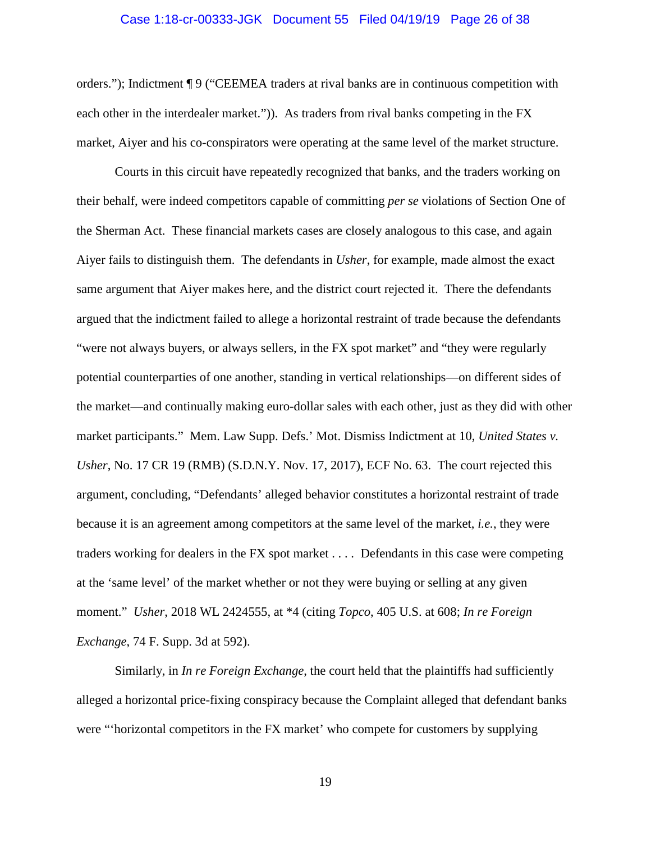#### Case 1:18-cr-00333-JGK Document 55 Filed 04/19/19 Page 26 of 38

orders."); Indictment ¶ 9 ("CEEMEA traders at rival banks are in continuous competition with each other in the interdealer market.")). As traders from rival banks competing in the FX market, Aiyer and his co-conspirators were operating at the same level of the market structure.

Courts in this circuit have repeatedly recognized that banks, and the traders working on their behalf, were indeed competitors capable of committing *per se* violations of Section One of the Sherman Act. These financial markets cases are closely analogous to this case, and again Aiyer fails to distinguish them. The defendants in *Usher*, for example, made almost the exact same argument that Aiyer makes here, and the district court rejected it. There the defendants argued that the indictment failed to allege a horizontal restraint of trade because the defendants "were not always buyers, or always sellers, in the FX spot market" and "they were regularly potential counterparties of one another, standing in vertical relationships—on different sides of the market—and continually making euro-dollar sales with each other, just as they did with other market participants." Mem. Law Supp. Defs.' Mot. Dismiss Indictment at 10, *United States v. Usher*, No. 17 CR 19 (RMB) (S.D.N.Y. Nov. 17, 2017), ECF No. 63. The court rejected this argument, concluding, "Defendants' alleged behavior constitutes a horizontal restraint of trade because it is an agreement among competitors at the same level of the market, *i.e.*, they were traders working for dealers in the FX spot market . . . . Defendants in this case were competing at the 'same level' of the market whether or not they were buying or selling at any given moment." *Usher*, 2018 WL 2424555, at \*4 (citing *Topco*, 405 U.S. at 608; *In re Foreign Exchange*, 74 F. Supp. 3d at 592).

Similarly, in *In re Foreign Exchange*, the court held that the plaintiffs had sufficiently alleged a horizontal price-fixing conspiracy because the Complaint alleged that defendant banks were "'horizontal competitors in the FX market' who compete for customers by supplying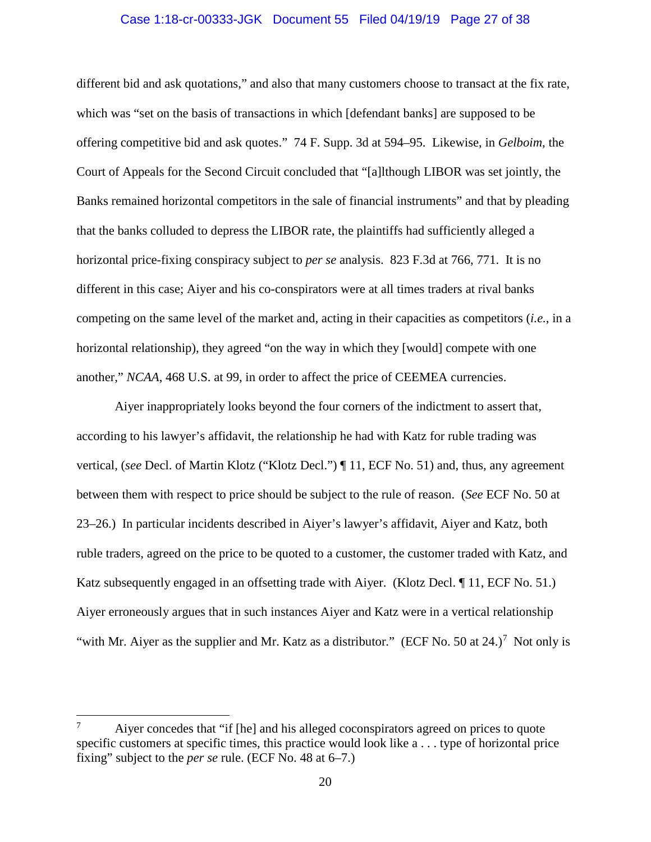#### Case 1:18-cr-00333-JGK Document 55 Filed 04/19/19 Page 27 of 38

different bid and ask quotations," and also that many customers choose to transact at the fix rate, which was "set on the basis of transactions in which [defendant banks] are supposed to be offering competitive bid and ask quotes." 74 F. Supp. 3d at 594–95. Likewise, in *Gelboim*, the Court of Appeals for the Second Circuit concluded that "[a]lthough LIBOR was set jointly, the Banks remained horizontal competitors in the sale of financial instruments" and that by pleading that the banks colluded to depress the LIBOR rate, the plaintiffs had sufficiently alleged a horizontal price-fixing conspiracy subject to *per se* analysis. 823 F.3d at 766, 771. It is no different in this case; Aiyer and his co-conspirators were at all times traders at rival banks competing on the same level of the market and, acting in their capacities as competitors (*i.e.*, in a horizontal relationship), they agreed "on the way in which they [would] compete with one another," *NCAA*, 468 U.S. at 99, in order to affect the price of CEEMEA currencies.

Aiyer inappropriately looks beyond the four corners of the indictment to assert that, according to his lawyer's affidavit, the relationship he had with Katz for ruble trading was vertical, (*see* Decl. of Martin Klotz ("Klotz Decl.") ¶ 11, ECF No. 51) and, thus, any agreement between them with respect to price should be subject to the rule of reason. (*See* ECF No. 50 at 23–26.) In particular incidents described in Aiyer's lawyer's affidavit, Aiyer and Katz, both ruble traders, agreed on the price to be quoted to a customer, the customer traded with Katz, and Katz subsequently engaged in an offsetting trade with Aiyer. (Klotz Decl. ¶ 11, ECF No. 51.) Aiyer erroneously argues that in such instances Aiyer and Katz were in a vertical relationship "with Mr. Aiyer as the supplier and Mr. Katz as a distributor." (ECF No. 50 at 24.)<sup>7</sup> Not only is

Aiyer concedes that "if [he] and his alleged coconspirators agreed on prices to quote specific customers at specific times, this practice would look like a . . . type of horizontal price fixing" subject to the *per se* rule. (ECF No. 48 at 6–7.)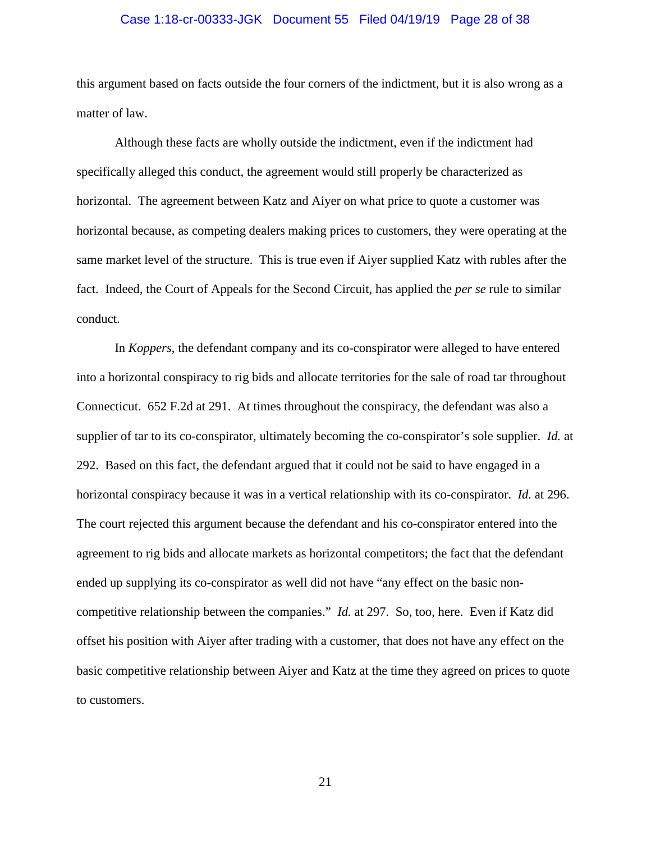#### Case 1:18-cr-00333-JGK Document 55 Filed 04/19/19 Page 28 of 38

this argument based on facts outside the four corners of the indictment, but it is also wrong as a matter of law.

Although these facts are wholly outside the indictment, even if the indictment had specifically alleged this conduct, the agreement would still properly be characterized as horizontal. The agreement between Katz and Aiyer on what price to quote a customer was horizontal because, as competing dealers making prices to customers, they were operating at the same market level of the structure. This is true even if Aiyer supplied Katz with rubles after the fact. Indeed, the Court of Appeals for the Second Circuit, has applied the *per se* rule to similar conduct.

In *Koppers*, the defendant company and its co-conspirator were alleged to have entered into a horizontal conspiracy to rig bids and allocate territories for the sale of road tar throughout Connecticut. 652 F.2d at 291. At times throughout the conspiracy, the defendant was also a supplier of tar to its co-conspirator, ultimately becoming the co-conspirator's sole supplier. *Id.* at 292. Based on this fact, the defendant argued that it could not be said to have engaged in a horizontal conspiracy because it was in a vertical relationship with its co-conspirator. *Id.* at 296. The court rejected this argument because the defendant and his co-conspirator entered into the agreement to rig bids and allocate markets as horizontal competitors; the fact that the defendant ended up supplying its co-conspirator as well did not have "any effect on the basic noncompetitive relationship between the companies." *Id.* at 297. So, too, here. Even if Katz did offset his position with Aiyer after trading with a customer, that does not have any effect on the basic competitive relationship between Aiyer and Katz at the time they agreed on prices to quote to customers.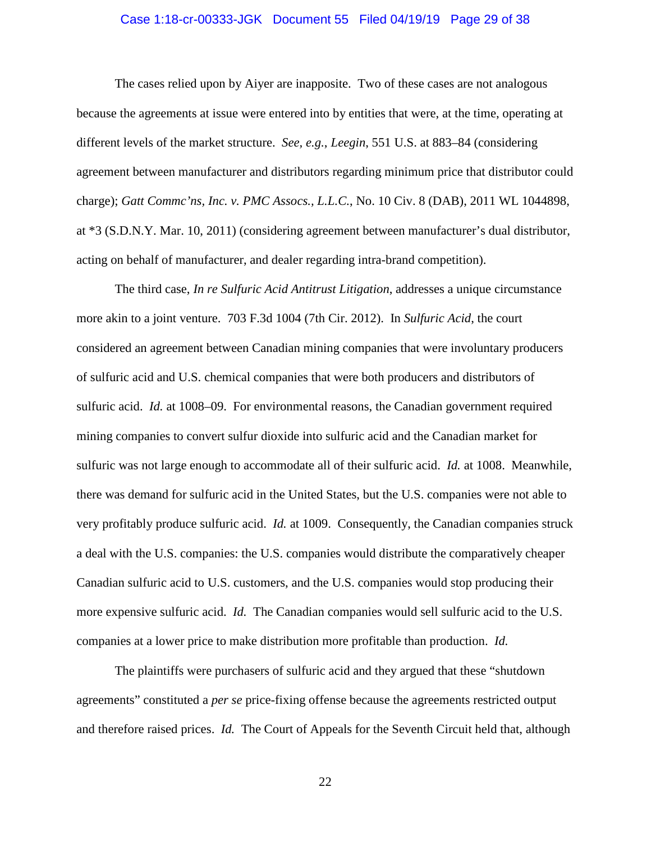#### Case 1:18-cr-00333-JGK Document 55 Filed 04/19/19 Page 29 of 38

The cases relied upon by Aiyer are inapposite. Two of these cases are not analogous because the agreements at issue were entered into by entities that were, at the time, operating at different levels of the market structure. *See, e.g.*, *Leegin*, 551 U.S. at 883–84 (considering agreement between manufacturer and distributors regarding minimum price that distributor could charge); *Gatt Commc'ns, Inc. v. PMC Assocs., L.L.C.*, No. 10 Civ. 8 (DAB), 2011 WL 1044898, at \*3 (S.D.N.Y. Mar. 10, 2011) (considering agreement between manufacturer's dual distributor, acting on behalf of manufacturer, and dealer regarding intra-brand competition).

The third case, *In re Sulfuric Acid Antitrust Litigation*, addresses a unique circumstance more akin to a joint venture. 703 F.3d 1004 (7th Cir. 2012). In *Sulfuric Acid*, the court considered an agreement between Canadian mining companies that were involuntary producers of sulfuric acid and U.S. chemical companies that were both producers and distributors of sulfuric acid. *Id.* at 1008–09. For environmental reasons, the Canadian government required mining companies to convert sulfur dioxide into sulfuric acid and the Canadian market for sulfuric was not large enough to accommodate all of their sulfuric acid. *Id.* at 1008. Meanwhile, there was demand for sulfuric acid in the United States, but the U.S. companies were not able to very profitably produce sulfuric acid. *Id.* at 1009. Consequently, the Canadian companies struck a deal with the U.S. companies: the U.S. companies would distribute the comparatively cheaper Canadian sulfuric acid to U.S. customers, and the U.S. companies would stop producing their more expensive sulfuric acid. *Id.* The Canadian companies would sell sulfuric acid to the U.S. companies at a lower price to make distribution more profitable than production. *Id.*

The plaintiffs were purchasers of sulfuric acid and they argued that these "shutdown agreements" constituted a *per se* price-fixing offense because the agreements restricted output and therefore raised prices. *Id.* The Court of Appeals for the Seventh Circuit held that, although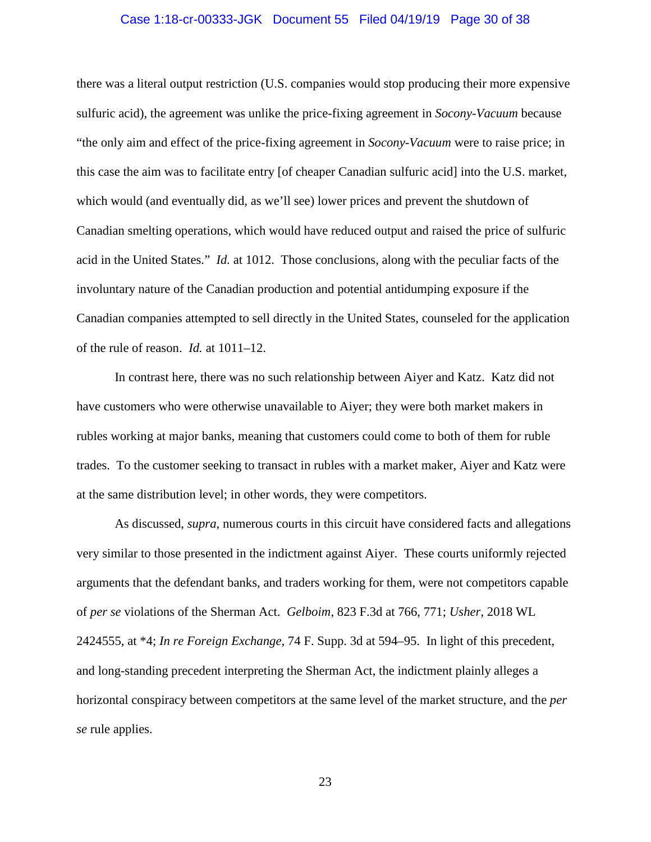#### Case 1:18-cr-00333-JGK Document 55 Filed 04/19/19 Page 30 of 38

there was a literal output restriction (U.S. companies would stop producing their more expensive sulfuric acid), the agreement was unlike the price-fixing agreement in *Socony-Vacuum* because "the only aim and effect of the price-fixing agreement in *Socony-Vacuum* were to raise price; in this case the aim was to facilitate entry [of cheaper Canadian sulfuric acid] into the U.S. market, which would (and eventually did, as we'll see) lower prices and prevent the shutdown of Canadian smelting operations, which would have reduced output and raised the price of sulfuric acid in the United States." *Id.* at 1012. Those conclusions, along with the peculiar facts of the involuntary nature of the Canadian production and potential antidumping exposure if the Canadian companies attempted to sell directly in the United States, counseled for the application of the rule of reason. *Id.* at 1011–12.

In contrast here, there was no such relationship between Aiyer and Katz. Katz did not have customers who were otherwise unavailable to Aiyer; they were both market makers in rubles working at major banks, meaning that customers could come to both of them for ruble trades. To the customer seeking to transact in rubles with a market maker, Aiyer and Katz were at the same distribution level; in other words, they were competitors.

As discussed, *supra*, numerous courts in this circuit have considered facts and allegations very similar to those presented in the indictment against Aiyer. These courts uniformly rejected arguments that the defendant banks, and traders working for them, were not competitors capable of *per se* violations of the Sherman Act. *Gelboim*, 823 F.3d at 766, 771; *Usher*, 2018 WL 2424555, at \*4; *In re Foreign Exchange*, 74 F. Supp. 3d at 594–95. In light of this precedent, and long-standing precedent interpreting the Sherman Act, the indictment plainly alleges a horizontal conspiracy between competitors at the same level of the market structure, and the *per se* rule applies.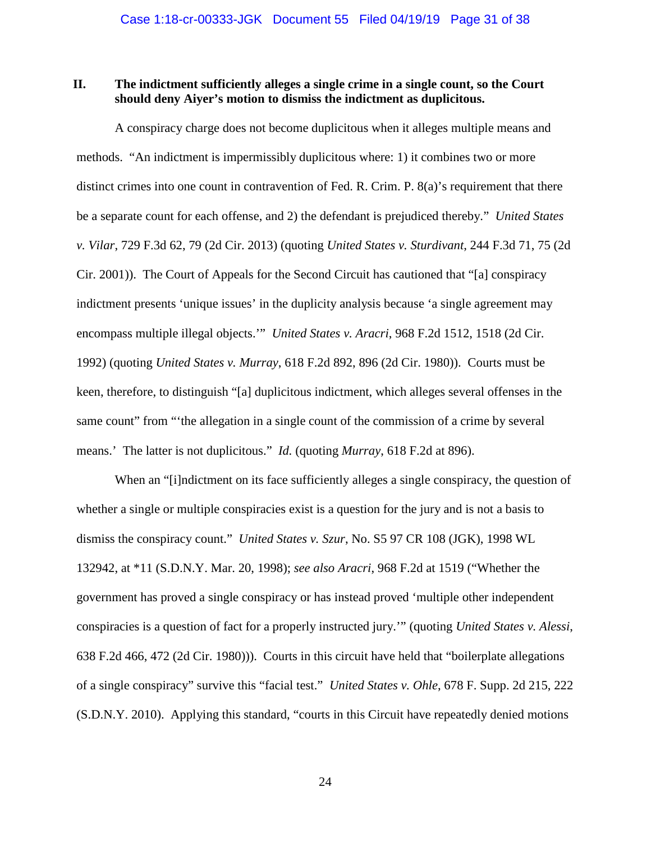### **II. The indictment sufficiently alleges a single crime in a single count, so the Court should deny Aiyer's motion to dismiss the indictment as duplicitous.**

A conspiracy charge does not become duplicitous when it alleges multiple means and methods. "An indictment is impermissibly duplicitous where: 1) it combines two or more distinct crimes into one count in contravention of Fed. R. Crim. P. 8(a)'s requirement that there be a separate count for each offense, and 2) the defendant is prejudiced thereby." *United States v. Vilar*, 729 F.3d 62, 79 (2d Cir. 2013) (quoting *United States v. Sturdivant*, 244 F.3d 71, 75 (2d Cir. 2001)). The Court of Appeals for the Second Circuit has cautioned that "[a] conspiracy indictment presents 'unique issues' in the duplicity analysis because 'a single agreement may encompass multiple illegal objects.'" *United States v. Aracri*, 968 F.2d 1512, 1518 (2d Cir. 1992) (quoting *United States v. Murray*, 618 F.2d 892, 896 (2d Cir. 1980)). Courts must be keen, therefore, to distinguish "[a] duplicitous indictment, which alleges several offenses in the same count" from ""the allegation in a single count of the commission of a crime by several means.' The latter is not duplicitous." *Id.* (quoting *Murray*, 618 F.2d at 896).

When an "[i]ndictment on its face sufficiently alleges a single conspiracy, the question of whether a single or multiple conspiracies exist is a question for the jury and is not a basis to dismiss the conspiracy count." *United States v. Szur*, No. S5 97 CR 108 (JGK), 1998 WL 132942, at \*11 (S.D.N.Y. Mar. 20, 1998); *see also Aracri*, 968 F.2d at 1519 ("Whether the government has proved a single conspiracy or has instead proved 'multiple other independent conspiracies is a question of fact for a properly instructed jury.'" (quoting *United States v. Alessi*, 638 F.2d 466, 472 (2d Cir. 1980))). Courts in this circuit have held that "boilerplate allegations of a single conspiracy" survive this "facial test." *United States v. Ohle*, 678 F. Supp. 2d 215, 222 (S.D.N.Y. 2010). Applying this standard, "courts in this Circuit have repeatedly denied motions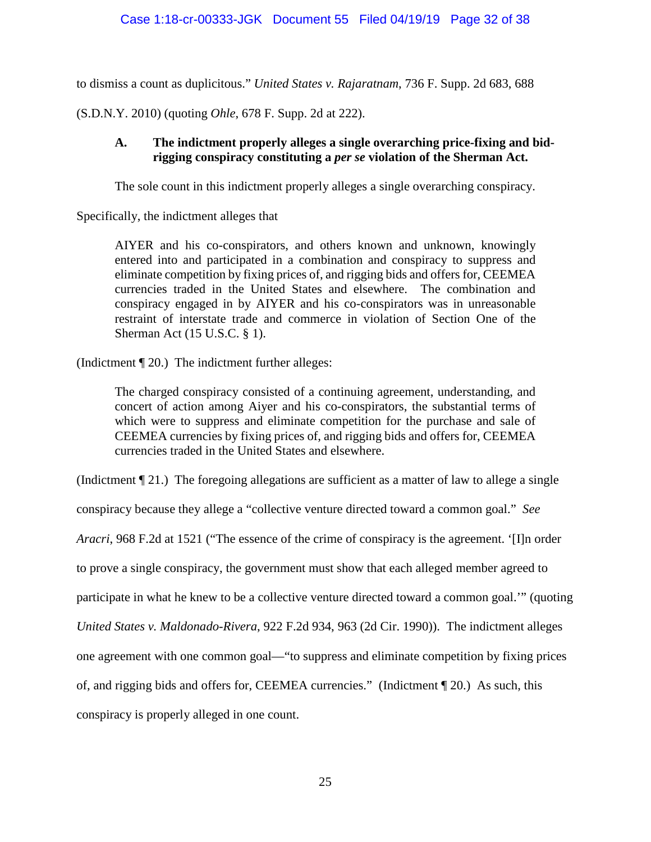to dismiss a count as duplicitous." *United States v. Rajaratnam*, 736 F. Supp. 2d 683, 688

(S.D.N.Y. 2010) (quoting *Ohle*, 678 F. Supp. 2d at 222).

## **A. The indictment properly alleges a single overarching price-fixing and bidrigging conspiracy constituting a** *per se* **violation of the Sherman Act.**

The sole count in this indictment properly alleges a single overarching conspiracy.

Specifically, the indictment alleges that

AIYER and his co-conspirators, and others known and unknown, knowingly entered into and participated in a combination and conspiracy to suppress and eliminate competition by fixing prices of, and rigging bids and offers for, CEEMEA currencies traded in the United States and elsewhere. The combination and conspiracy engaged in by AIYER and his co-conspirators was in unreasonable restraint of interstate trade and commerce in violation of Section One of the Sherman Act (15 U.S.C. § 1).

(Indictment ¶ 20.) The indictment further alleges:

The charged conspiracy consisted of a continuing agreement, understanding, and concert of action among Aiyer and his co-conspirators, the substantial terms of which were to suppress and eliminate competition for the purchase and sale of CEEMEA currencies by fixing prices of, and rigging bids and offers for, CEEMEA currencies traded in the United States and elsewhere.

(Indictment ¶ 21.) The foregoing allegations are sufficient as a matter of law to allege a single

conspiracy because they allege a "collective venture directed toward a common goal." *See* 

*Aracri*, 968 F.2d at 1521 ("The essence of the crime of conspiracy is the agreement. '[I]n order

to prove a single conspiracy, the government must show that each alleged member agreed to

participate in what he knew to be a collective venture directed toward a common goal.'" (quoting

*United States v. Maldonado-Rivera*, 922 F.2d 934, 963 (2d Cir. 1990)). The indictment alleges

one agreement with one common goal—"to suppress and eliminate competition by fixing prices

of, and rigging bids and offers for, CEEMEA currencies." (Indictment ¶ 20.) As such, this

conspiracy is properly alleged in one count.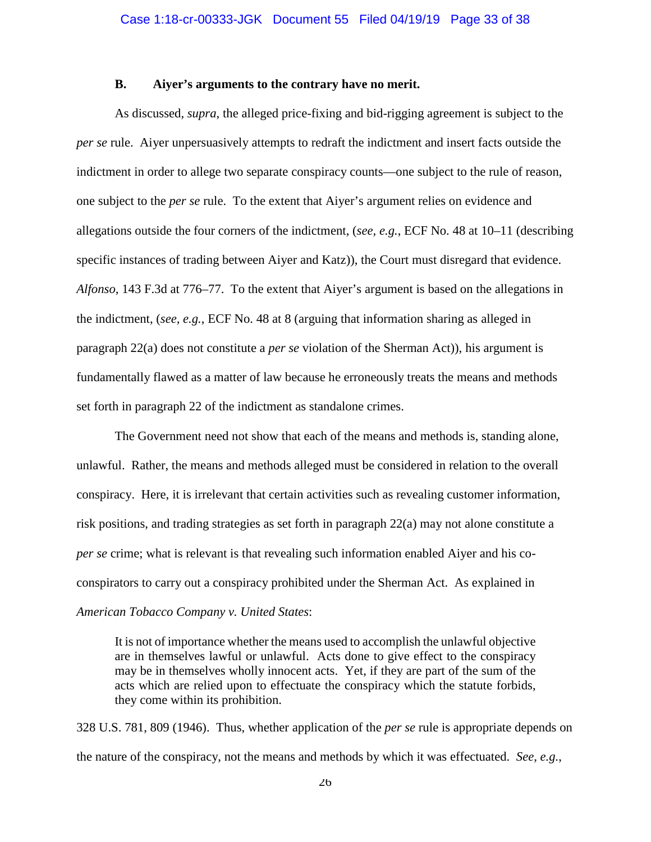#### **B. Aiyer's arguments to the contrary have no merit.**

As discussed, *supra*, the alleged price-fixing and bid-rigging agreement is subject to the *per se* rule. Aiyer unpersuasively attempts to redraft the indictment and insert facts outside the indictment in order to allege two separate conspiracy counts—one subject to the rule of reason, one subject to the *per se* rule. To the extent that Aiyer's argument relies on evidence and allegations outside the four corners of the indictment, (*see, e.g.*, ECF No. 48 at 10–11 (describing specific instances of trading between Aiyer and Katz)), the Court must disregard that evidence. *Alfonso*, 143 F.3d at 776–77. To the extent that Aiyer's argument is based on the allegations in the indictment, (*see, e.g.*, ECF No. 48 at 8 (arguing that information sharing as alleged in paragraph 22(a) does not constitute a *per se* violation of the Sherman Act)), his argument is fundamentally flawed as a matter of law because he erroneously treats the means and methods set forth in paragraph 22 of the indictment as standalone crimes.

The Government need not show that each of the means and methods is, standing alone, unlawful. Rather, the means and methods alleged must be considered in relation to the overall conspiracy. Here, it is irrelevant that certain activities such as revealing customer information, risk positions, and trading strategies as set forth in paragraph 22(a) may not alone constitute a *per se* crime; what is relevant is that revealing such information enabled Aiyer and his coconspirators to carry out a conspiracy prohibited under the Sherman Act. As explained in *American Tobacco Company v. United States*:

It is not of importance whether the means used to accomplish the unlawful objective are in themselves lawful or unlawful. Acts done to give effect to the conspiracy may be in themselves wholly innocent acts. Yet, if they are part of the sum of the acts which are relied upon to effectuate the conspiracy which the statute forbids, they come within its prohibition.

328 U.S. 781, 809 (1946). Thus, whether application of the *per se* rule is appropriate depends on the nature of the conspiracy, not the means and methods by which it was effectuated. *See, e.g.*,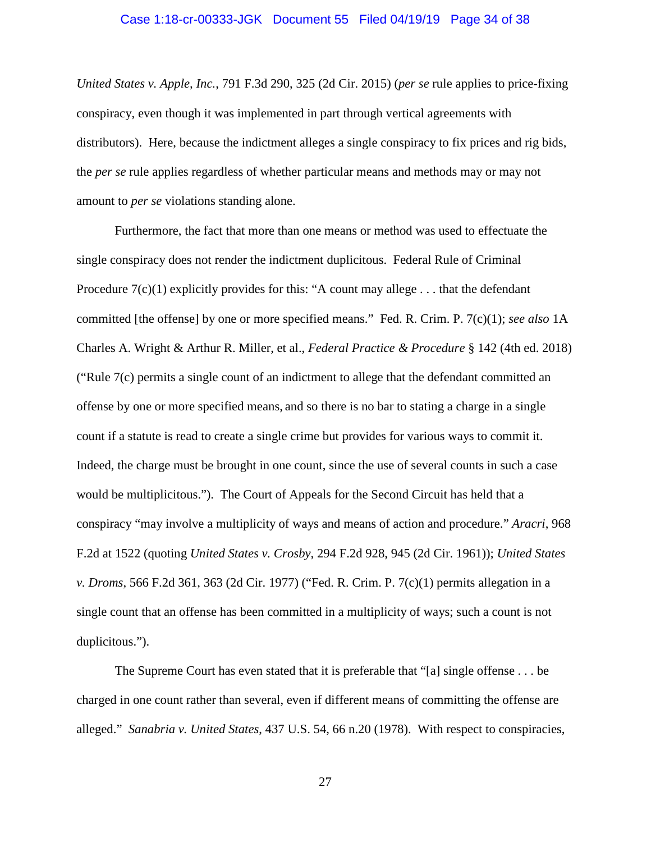#### Case 1:18-cr-00333-JGK Document 55 Filed 04/19/19 Page 34 of 38

*United States v. Apple, Inc.*, 791 F.3d 290, 325 (2d Cir. 2015) (*per se* rule applies to price-fixing conspiracy, even though it was implemented in part through vertical agreements with distributors). Here, because the indictment alleges a single conspiracy to fix prices and rig bids, the *per se* rule applies regardless of whether particular means and methods may or may not amount to *per se* violations standing alone.

Furthermore, the fact that more than one means or method was used to effectuate the single conspiracy does not render the indictment duplicitous. Federal Rule of Criminal Procedure  $7(c)(1)$  explicitly provides for this: "A count may allege ... that the defendant committed [the offense] by one or more specified means." Fed. R. Crim. P. 7(c)(1); *see also* 1A Charles A. Wright & Arthur R. Miller, et al., *Federal Practice & Procedure* § 142 (4th ed. 2018) ("Rule 7(c) permits a single count of an indictment to allege that the defendant committed an offense by one or more specified means, and so there is no bar to stating a charge in a single count if a statute is read to create a single crime but provides for various ways to commit it. Indeed, the charge must be brought in one count, since the use of several counts in such a case would be multiplicitous."). The Court of Appeals for the Second Circuit has held that a conspiracy "may involve a multiplicity of ways and means of action and procedure." *Aracri*, 968 F.2d at 1522 (quoting *United States v. Crosby*, 294 F.2d 928, 945 (2d Cir. 1961)); *United States v. Droms*, 566 F.2d 361, 363 (2d Cir. 1977) ("Fed. R. Crim. P. 7(c)(1) permits allegation in a single count that an offense has been committed in a multiplicity of ways; such a count is not duplicitous.").

The Supreme Court has even stated that it is preferable that "[a] single offense . . . be charged in one count rather than several, even if different means of committing the offense are alleged." *Sanabria v. United States*, 437 U.S. 54, 66 n.20 (1978). With respect to conspiracies,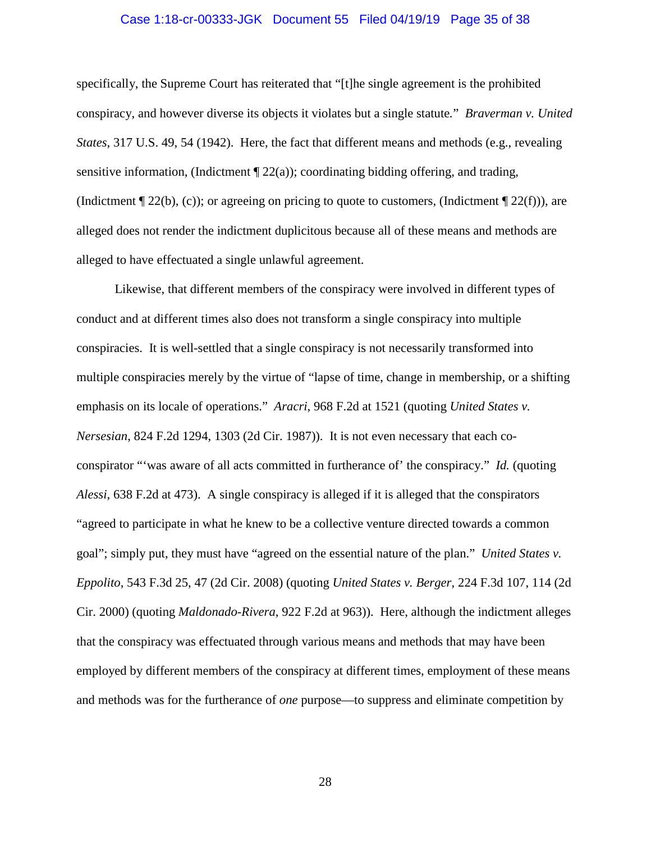#### Case 1:18-cr-00333-JGK Document 55 Filed 04/19/19 Page 35 of 38

specifically, the Supreme Court has reiterated that "[t]he single agreement is the prohibited conspiracy, and however diverse its objects it violates but a single statute*.*" *Braverman v. United States*, 317 U.S. 49, 54 (1942). Here, the fact that different means and methods (e.g., revealing sensitive information, (Indictment  $\P$  22(a)); coordinating bidding offering, and trading, (Indictment  $\P$  22(b), (c)); or agreeing on pricing to quote to customers, (Indictment  $\P$  22(f))), are alleged does not render the indictment duplicitous because all of these means and methods are alleged to have effectuated a single unlawful agreement.

Likewise, that different members of the conspiracy were involved in different types of conduct and at different times also does not transform a single conspiracy into multiple conspiracies. It is well-settled that a single conspiracy is not necessarily transformed into multiple conspiracies merely by the virtue of "lapse of time, change in membership, or a shifting emphasis on its locale of operations." *Aracri*, 968 F.2d at 1521 (quoting *United States v. Nersesian*, 824 F.2d 1294, 1303 (2d Cir. 1987)). It is not even necessary that each coconspirator "'was aware of all acts committed in furtherance of' the conspiracy." *Id.* (quoting *Alessi*, 638 F.2d at 473). A single conspiracy is alleged if it is alleged that the conspirators "agreed to participate in what he knew to be a collective venture directed towards a common goal"; simply put, they must have "agreed on the essential nature of the plan." *United States v. Eppolito*, 543 F.3d 25, 47 (2d Cir. 2008) (quoting *United States v. Berger*, 224 F.3d 107, 114 (2d Cir. 2000) (quoting *Maldonado-Rivera*, 922 F.2d at 963)). Here, although the indictment alleges that the conspiracy was effectuated through various means and methods that may have been employed by different members of the conspiracy at different times, employment of these means and methods was for the furtherance of *one* purpose—to suppress and eliminate competition by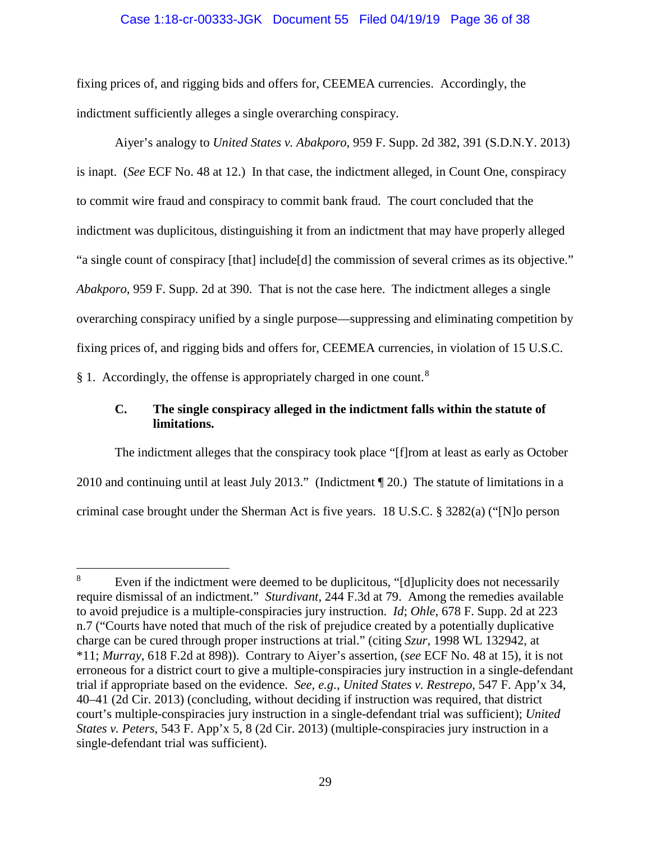#### Case 1:18-cr-00333-JGK Document 55 Filed 04/19/19 Page 36 of 38

fixing prices of, and rigging bids and offers for, CEEMEA currencies. Accordingly, the indictment sufficiently alleges a single overarching conspiracy.

Aiyer's analogy to *United States v. Abakporo*, 959 F. Supp. 2d 382, 391 (S.D.N.Y. 2013) is inapt. (*See* ECF No. 48 at 12.) In that case, the indictment alleged, in Count One, conspiracy to commit wire fraud and conspiracy to commit bank fraud. The court concluded that the indictment was duplicitous, distinguishing it from an indictment that may have properly alleged "a single count of conspiracy [that] include[d] the commission of several crimes as its objective." *Abakporo*, 959 F. Supp. 2d at 390. That is not the case here. The indictment alleges a single overarching conspiracy unified by a single purpose—suppressing and eliminating competition by fixing prices of, and rigging bids and offers for, CEEMEA currencies, in violation of 15 U.S.C. § 1. Accordingly, the offense is appropriately charged in one count.<sup>8</sup>

# **C. The single conspiracy alleged in the indictment falls within the statute of limitations.**

The indictment alleges that the conspiracy took place "[f]rom at least as early as October 2010 and continuing until at least July 2013." (Indictment ¶ 20.) The statute of limitations in a criminal case brought under the Sherman Act is five years. 18 U.S.C. § 3282(a) ("[N]o person

<sup>&</sup>lt;sup>8</sup> Even if the indictment were deemed to be duplicitous, "[d]uplicity does not necessarily require dismissal of an indictment." *Sturdivant*, 244 F.3d at 79. Among the remedies available to avoid prejudice is a multiple-conspiracies jury instruction. *Id*; *Ohle*, 678 F. Supp. 2d at 223 n.7 ("Courts have noted that much of the risk of prejudice created by a potentially duplicative charge can be cured through proper instructions at trial." (citing *Szur*, 1998 WL 132942, at \*11; *Murray*, 618 F.2d at 898)). Contrary to Aiyer's assertion, (*see* ECF No. 48 at 15), it is not erroneous for a district court to give a multiple-conspiracies jury instruction in a single-defendant trial if appropriate based on the evidence. *See, e.g.*, *United States v. Restrepo*, 547 F. App'x 34, 40–41 (2d Cir. 2013) (concluding, without deciding if instruction was required, that district court's multiple-conspiracies jury instruction in a single-defendant trial was sufficient); *United States v. Peters*, 543 F. App'x 5, 8 (2d Cir. 2013) (multiple-conspiracies jury instruction in a single-defendant trial was sufficient).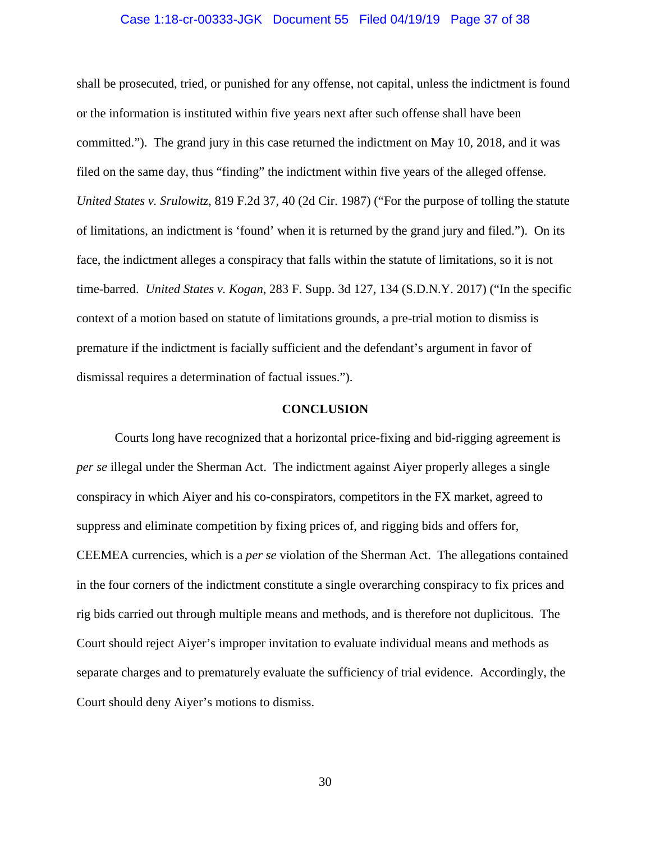#### Case 1:18-cr-00333-JGK Document 55 Filed 04/19/19 Page 37 of 38

shall be prosecuted, tried, or punished for any offense, not capital, unless the indictment is found or the information is instituted within five years next after such offense shall have been committed."). The grand jury in this case returned the indictment on May 10, 2018, and it was filed on the same day, thus "finding" the indictment within five years of the alleged offense. *United States v. Srulowitz*, 819 F.2d 37, 40 (2d Cir. 1987) ("For the purpose of tolling the statute of limitations, an indictment is 'found' when it is returned by the grand jury and filed."). On its face, the indictment alleges a conspiracy that falls within the statute of limitations, so it is not time-barred. *United States v. Kogan*, 283 F. Supp. 3d 127, 134 (S.D.N.Y. 2017) ("In the specific context of a motion based on statute of limitations grounds, a pre-trial motion to dismiss is premature if the indictment is facially sufficient and the defendant's argument in favor of dismissal requires a determination of factual issues.").

### **CONCLUSION**

Courts long have recognized that a horizontal price-fixing and bid-rigging agreement is *per se* illegal under the Sherman Act. The indictment against Aiyer properly alleges a single conspiracy in which Aiyer and his co-conspirators, competitors in the FX market, agreed to suppress and eliminate competition by fixing prices of, and rigging bids and offers for, CEEMEA currencies, which is a *per se* violation of the Sherman Act. The allegations contained in the four corners of the indictment constitute a single overarching conspiracy to fix prices and rig bids carried out through multiple means and methods, and is therefore not duplicitous. The Court should reject Aiyer's improper invitation to evaluate individual means and methods as separate charges and to prematurely evaluate the sufficiency of trial evidence. Accordingly, the Court should deny Aiyer's motions to dismiss.